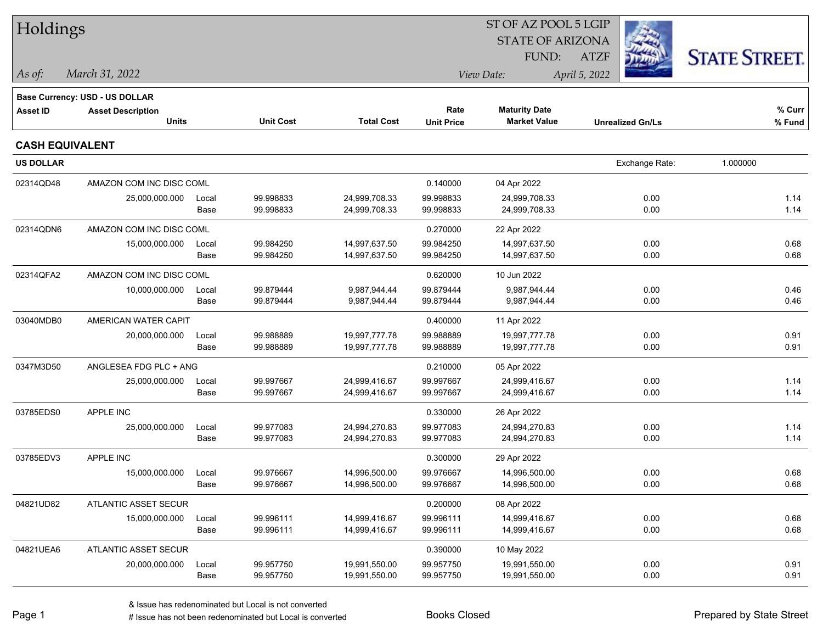| Holdings               |                                       |       |                  |                   |                   | ST OF AZ POOL 5 LGIP    |                         |                      |
|------------------------|---------------------------------------|-------|------------------|-------------------|-------------------|-------------------------|-------------------------|----------------------|
|                        |                                       |       |                  |                   |                   | <b>STATE OF ARIZONA</b> |                         |                      |
|                        |                                       |       |                  |                   |                   | FUND:                   | <b>ATZF</b>             | <b>STATE STREET.</b> |
| $\vert$ As of:         | March 31, 2022                        |       |                  |                   |                   | View Date:              | April 5, 2022           |                      |
|                        | <b>Base Currency: USD - US DOLLAR</b> |       |                  |                   |                   |                         |                         |                      |
| <b>Asset ID</b>        | <b>Asset Description</b>              |       |                  |                   | Rate              | <b>Maturity Date</b>    |                         | % Curr               |
|                        | <b>Units</b>                          |       | <b>Unit Cost</b> | <b>Total Cost</b> | <b>Unit Price</b> | <b>Market Value</b>     | <b>Unrealized Gn/Ls</b> | % Fund               |
| <b>CASH EQUIVALENT</b> |                                       |       |                  |                   |                   |                         |                         |                      |
| <b>US DOLLAR</b>       |                                       |       |                  |                   |                   |                         | Exchange Rate:          | 1.000000             |
| 02314QD48              | AMAZON COM INC DISC COML              |       |                  |                   | 0.140000          | 04 Apr 2022             |                         |                      |
|                        | 25,000,000.000                        | Local | 99.998833        | 24,999,708.33     | 99.998833         | 24,999,708.33           | 0.00                    | 1.14                 |
|                        |                                       | Base  | 99.998833        | 24,999,708.33     | 99.998833         | 24,999,708.33           | 0.00                    | 1.14                 |
| 02314QDN6              | AMAZON COM INC DISC COML              |       |                  |                   | 0.270000          | 22 Apr 2022             |                         |                      |
|                        | 15,000,000.000                        | Local | 99.984250        | 14,997,637.50     | 99.984250         | 14,997,637.50           | 0.00                    | 0.68                 |
|                        |                                       | Base  | 99.984250        | 14,997,637.50     | 99.984250         | 14,997,637.50           | 0.00                    | 0.68                 |
| 02314QFA2              | AMAZON COM INC DISC COML              |       |                  |                   | 0.620000          | 10 Jun 2022             |                         |                      |
|                        | 10,000,000.000                        | Local | 99.879444        | 9,987,944.44      | 99.879444         | 9,987,944.44            | 0.00                    | 0.46                 |
|                        |                                       | Base  | 99.879444        | 9,987,944.44      | 99.879444         | 9,987,944.44            | 0.00                    | 0.46                 |
| 03040MDB0              | AMERICAN WATER CAPIT                  |       |                  |                   | 0.400000          | 11 Apr 2022             |                         |                      |
|                        | 20,000,000.000                        | Local | 99.988889        | 19,997,777.78     | 99.988889         | 19,997,777.78           | 0.00                    | 0.91                 |
|                        |                                       | Base  | 99.988889        | 19,997,777.78     | 99.988889         | 19,997,777.78           | 0.00                    | 0.91                 |
| 0347M3D50              | ANGLESEA FDG PLC + ANG                |       |                  |                   | 0.210000          | 05 Apr 2022             |                         |                      |
|                        | 25,000,000.000                        | Local | 99.997667        | 24,999,416.67     | 99.997667         | 24,999,416.67           | 0.00                    | 1.14                 |
|                        |                                       | Base  | 99.997667        | 24,999,416.67     | 99.997667         | 24,999,416.67           | 0.00                    | 1.14                 |
| 03785EDS0              | APPLE INC                             |       |                  |                   | 0.330000          | 26 Apr 2022             |                         |                      |
|                        | 25,000,000.000                        | Local | 99.977083        | 24,994,270.83     | 99.977083         | 24,994,270.83           | 0.00                    | 1.14                 |
|                        |                                       | Base  | 99.977083        | 24,994,270.83     | 99.977083         | 24,994,270.83           | 0.00                    | 1.14                 |
| 03785EDV3              | APPLE INC                             |       |                  |                   | 0.300000          | 29 Apr 2022             |                         |                      |
|                        | 15,000,000.000                        | Local | 99.976667        | 14,996,500.00     | 99.976667         | 14,996,500.00           | 0.00                    | 0.68                 |
|                        |                                       | Base  | 99.976667        | 14,996,500.00     | 99.976667         | 14,996,500.00           | 0.00                    | 0.68                 |
| 04821UD82              | ATLANTIC ASSET SECUR                  |       |                  |                   | 0.200000          | 08 Apr 2022             |                         |                      |
|                        | 15,000,000.000                        | Local | 99.996111        | 14,999,416.67     | 99.996111         | 14,999,416.67           | 0.00                    | 0.68                 |
|                        |                                       | Base  | 99.996111        | 14,999,416.67     | 99.996111         | 14,999,416.67           | 0.00                    | 0.68                 |
| 04821UEA6              | ATLANTIC ASSET SECUR                  |       |                  |                   | 0.390000          | 10 May 2022             |                         |                      |
|                        | 20,000,000.000                        | Local | 99.957750        | 19,991,550.00     | 99.957750         | 19,991,550.00           | 0.00                    | 0.91                 |
|                        |                                       | Base  | 99.957750        | 19,991,550.00     | 99.957750         | 19,991,550.00           | 0.00                    | 0.91                 |
|                        |                                       |       |                  |                   |                   |                         |                         |                      |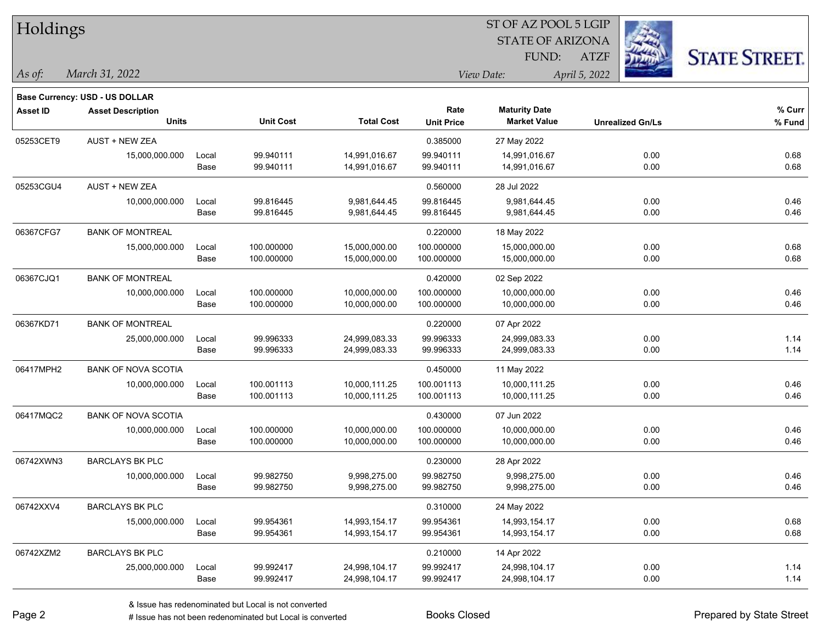| Holdings        |                                |       |                  |                   |                   | ST OF AZ POOL 5 LGIP    |                         |                      |
|-----------------|--------------------------------|-------|------------------|-------------------|-------------------|-------------------------|-------------------------|----------------------|
|                 |                                |       |                  |                   |                   | <b>STATE OF ARIZONA</b> |                         |                      |
|                 |                                |       |                  |                   |                   | FUND:                   | <b>ATZF</b>             | <b>STATE STREET.</b> |
| As of:          | March 31, 2022                 |       |                  |                   |                   | View Date:              | April 5, 2022           |                      |
|                 | Base Currency: USD - US DOLLAR |       |                  |                   |                   |                         |                         |                      |
| <b>Asset ID</b> | <b>Asset Description</b>       |       |                  |                   | Rate              | <b>Maturity Date</b>    |                         | % Curr               |
|                 | <b>Units</b>                   |       | <b>Unit Cost</b> | <b>Total Cost</b> | <b>Unit Price</b> | <b>Market Value</b>     | <b>Unrealized Gn/Ls</b> | % Fund               |
| 05253CET9       | AUST + NEW ZEA                 |       |                  |                   | 0.385000          | 27 May 2022             |                         |                      |
|                 | 15,000,000.000                 | Local | 99.940111        | 14,991,016.67     | 99.940111         | 14,991,016.67           | 0.00                    | 0.68                 |
|                 |                                | Base  | 99.940111        | 14,991,016.67     | 99.940111         | 14,991,016.67           | 0.00                    | 0.68                 |
| 05253CGU4       | <b>AUST + NEW ZEA</b>          |       |                  |                   | 0.560000          | 28 Jul 2022             |                         |                      |
|                 | 10,000,000.000                 | Local | 99.816445        | 9,981,644.45      | 99.816445         | 9,981,644.45            | 0.00                    | 0.46                 |
|                 |                                | Base  | 99.816445        | 9,981,644.45      | 99.816445         | 9,981,644.45            | 0.00                    | 0.46                 |
| 06367CFG7       | <b>BANK OF MONTREAL</b>        |       |                  |                   | 0.220000          | 18 May 2022             |                         |                      |
|                 | 15,000,000.000                 | Local | 100.000000       | 15,000,000.00     | 100.000000        | 15,000,000.00           | 0.00                    | 0.68                 |
|                 |                                | Base  | 100.000000       | 15,000,000.00     | 100.000000        | 15,000,000.00           | 0.00                    | 0.68                 |
| 06367CJQ1       | <b>BANK OF MONTREAL</b>        |       |                  |                   | 0.420000          | 02 Sep 2022             |                         |                      |
|                 | 10,000,000.000                 | Local | 100.000000       | 10,000,000.00     | 100.000000        | 10,000,000.00           | 0.00                    | 0.46                 |
|                 |                                | Base  | 100.000000       | 10,000,000.00     | 100.000000        | 10,000,000.00           | 0.00                    | 0.46                 |
| 06367KD71       | <b>BANK OF MONTREAL</b>        |       |                  |                   | 0.220000          | 07 Apr 2022             |                         |                      |
|                 | 25,000,000.000                 | Local | 99.996333        | 24,999,083.33     | 99.996333         | 24,999,083.33           | 0.00                    | 1.14                 |
|                 |                                | Base  | 99.996333        | 24,999,083.33     | 99.996333         | 24,999,083.33           | 0.00                    | 1.14                 |
| 06417MPH2       | <b>BANK OF NOVA SCOTIA</b>     |       |                  |                   | 0.450000          | 11 May 2022             |                         |                      |
|                 | 10,000,000.000                 | Local | 100.001113       | 10,000,111.25     | 100.001113        | 10,000,111.25           | 0.00                    | 0.46                 |
|                 |                                | Base  | 100.001113       | 10,000,111.25     | 100.001113        | 10,000,111.25           | 0.00                    | 0.46                 |
| 06417MQC2       | <b>BANK OF NOVA SCOTIA</b>     |       |                  |                   | 0.430000          | 07 Jun 2022             |                         |                      |
|                 | 10,000,000.000                 | Local | 100.000000       | 10,000,000.00     | 100.000000        | 10,000,000.00           | 0.00                    | 0.46                 |
|                 |                                | Base  | 100.000000       | 10,000,000.00     | 100.000000        | 10,000,000.00           | 0.00                    | 0.46                 |
| 06742XWN3       | <b>BARCLAYS BK PLC</b>         |       |                  |                   | 0.230000          | 28 Apr 2022             |                         |                      |
|                 | 10,000,000.000                 | Local | 99.982750        | 9,998,275.00      | 99.982750         | 9,998,275.00            | 0.00                    | 0.46                 |
|                 |                                | Base  | 99.982750        | 9,998,275.00      | 99.982750         | 9,998,275.00            | 0.00                    | 0.46                 |
| 06742XXV4       | <b>BARCLAYS BK PLC</b>         |       |                  |                   | 0.310000          | 24 May 2022             |                         |                      |
|                 | 15,000,000.000                 | Local | 99.954361        | 14,993,154.17     | 99.954361         | 14,993,154.17           | 0.00                    | 0.68                 |
|                 |                                | Base  | 99.954361        | 14,993,154.17     | 99.954361         | 14,993,154.17           | 0.00                    | 0.68                 |
| 06742XZM2       | <b>BARCLAYS BK PLC</b>         |       |                  |                   | 0.210000          | 14 Apr 2022             |                         |                      |
|                 | 25,000,000.000                 | Local | 99.992417        | 24,998,104.17     | 99.992417         | 24,998,104.17           | 0.00                    | 1.14                 |
|                 |                                | Base  | 99.992417        | 24,998,104.17     | 99.992417         | 24,998,104.17           | 0.00                    | 1.14                 |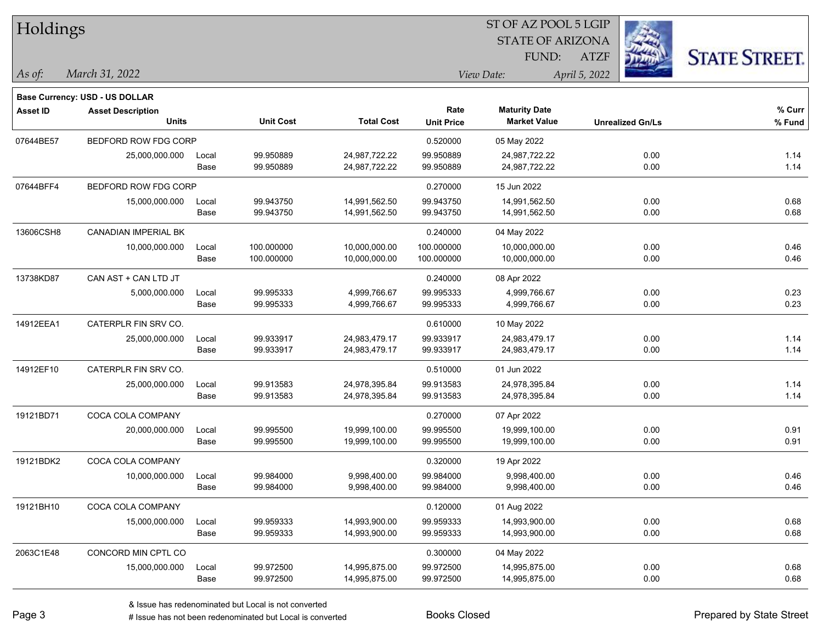| Holdings        |                                       |       |                  |                   |                   | ST OF AZ POOL 5 LGIP    |                         |                      |
|-----------------|---------------------------------------|-------|------------------|-------------------|-------------------|-------------------------|-------------------------|----------------------|
|                 |                                       |       |                  |                   |                   | <b>STATE OF ARIZONA</b> |                         |                      |
|                 |                                       |       |                  |                   |                   | FUND:                   | <b>ATZF</b>             | <b>STATE STREET.</b> |
| As of:          | March 31, 2022                        |       |                  |                   |                   | View Date:              | April 5, 2022           |                      |
|                 | <b>Base Currency: USD - US DOLLAR</b> |       |                  |                   |                   |                         |                         |                      |
| <b>Asset ID</b> | <b>Asset Description</b>              |       |                  |                   | Rate              | <b>Maturity Date</b>    |                         | % Curr               |
|                 | <b>Units</b>                          |       | <b>Unit Cost</b> | <b>Total Cost</b> | <b>Unit Price</b> | <b>Market Value</b>     | <b>Unrealized Gn/Ls</b> | % Fund               |
| 07644BE57       | BEDFORD ROW FDG CORP                  |       |                  |                   | 0.520000          | 05 May 2022             |                         |                      |
|                 | 25,000,000.000                        | Local | 99.950889        | 24,987,722.22     | 99.950889         | 24,987,722.22           | 0.00                    | 1.14                 |
|                 |                                       | Base  | 99.950889        | 24,987,722.22     | 99.950889         | 24,987,722.22           | 0.00                    | 1.14                 |
| 07644BFF4       | BEDFORD ROW FDG CORP                  |       |                  |                   | 0.270000          | 15 Jun 2022             |                         |                      |
|                 | 15,000,000.000                        | Local | 99.943750        | 14,991,562.50     | 99.943750         | 14,991,562.50           | 0.00                    | 0.68                 |
|                 |                                       | Base  | 99.943750        | 14,991,562.50     | 99.943750         | 14,991,562.50           | 0.00                    | 0.68                 |
| 13606CSH8       | <b>CANADIAN IMPERIAL BK</b>           |       |                  |                   | 0.240000          | 04 May 2022             |                         |                      |
|                 | 10,000,000.000                        | Local | 100.000000       | 10,000,000.00     | 100.000000        | 10,000,000.00           | 0.00                    | 0.46                 |
|                 |                                       | Base  | 100.000000       | 10,000,000.00     | 100.000000        | 10,000,000.00           | 0.00                    | 0.46                 |
| 13738KD87       | CAN AST + CAN LTD JT                  |       |                  |                   | 0.240000          | 08 Apr 2022             |                         |                      |
|                 | 5,000,000.000                         | Local | 99.995333        | 4,999,766.67      | 99.995333         | 4,999,766.67            | 0.00                    | 0.23                 |
|                 |                                       | Base  | 99.995333        | 4,999,766.67      | 99.995333         | 4,999,766.67            | 0.00                    | 0.23                 |
| 14912EEA1       | CATERPLR FIN SRV CO.                  |       |                  |                   | 0.610000          | 10 May 2022             |                         |                      |
|                 | 25,000,000.000                        | Local | 99.933917        | 24,983,479.17     | 99.933917         | 24,983,479.17           | 0.00                    | 1.14                 |
|                 |                                       | Base  | 99.933917        | 24,983,479.17     | 99.933917         | 24,983,479.17           | 0.00                    | 1.14                 |
| 14912EF10       | CATERPLR FIN SRV CO.                  |       |                  |                   | 0.510000          | 01 Jun 2022             |                         |                      |
|                 | 25,000,000.000                        | Local | 99.913583        | 24,978,395.84     | 99.913583         | 24,978,395.84           | 0.00                    | 1.14                 |
|                 |                                       | Base  | 99.913583        | 24,978,395.84     | 99.913583         | 24,978,395.84           | 0.00                    | 1.14                 |
| 19121BD71       | COCA COLA COMPANY                     |       |                  |                   | 0.270000          | 07 Apr 2022             |                         |                      |
|                 | 20,000,000.000                        | Local | 99.995500        | 19,999,100.00     | 99.995500         | 19,999,100.00           | 0.00                    | 0.91                 |
|                 |                                       | Base  | 99.995500        | 19,999,100.00     | 99.995500         | 19,999,100.00           | 0.00                    | 0.91                 |
| 19121BDK2       | COCA COLA COMPANY                     |       |                  |                   | 0.320000          | 19 Apr 2022             |                         |                      |
|                 | 10,000,000.000                        | Local | 99.984000        | 9,998,400.00      | 99.984000         | 9,998,400.00            | 0.00                    | 0.46                 |
|                 |                                       | Base  | 99.984000        | 9,998,400.00      | 99.984000         | 9,998,400.00            | 0.00                    | 0.46                 |
| 19121BH10       | COCA COLA COMPANY                     |       |                  |                   | 0.120000          | 01 Aug 2022             |                         |                      |
|                 | 15,000,000.000                        | Local | 99.959333        | 14,993,900.00     | 99.959333         | 14,993,900.00           | 0.00                    | 0.68                 |
|                 |                                       | Base  | 99.959333        | 14,993,900.00     | 99.959333         | 14,993,900.00           | 0.00                    | 0.68                 |
| 2063C1E48       | CONCORD MIN CPTL CO                   |       |                  |                   | 0.300000          | 04 May 2022             |                         |                      |
|                 | 15,000,000.000                        | Local | 99.972500        | 14,995,875.00     | 99.972500         | 14,995,875.00           | 0.00                    | 0.68                 |
|                 |                                       | Base  | 99.972500        | 14,995,875.00     | 99.972500         | 14,995,875.00           | 0.00                    | 0.68                 |

# Issue has not been redenominated but Local is converted Books Closed Prepared by State Street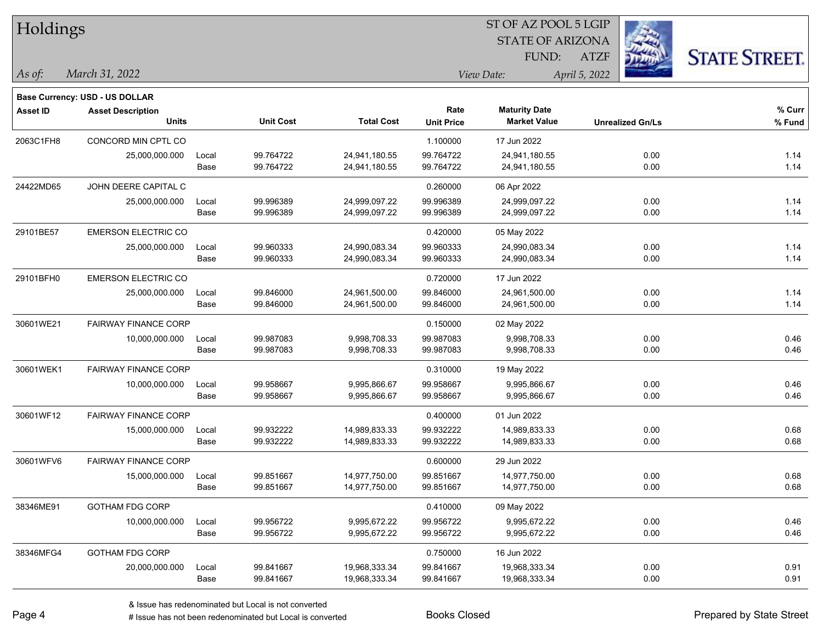| Holdings        |                                       |       |                  |                   |                   | ST OF AZ POOL 5 LGIP    |                         |                      |
|-----------------|---------------------------------------|-------|------------------|-------------------|-------------------|-------------------------|-------------------------|----------------------|
|                 |                                       |       |                  |                   |                   | <b>STATE OF ARIZONA</b> |                         |                      |
|                 |                                       |       |                  |                   |                   | FUND:                   | <b>ATZF</b>             | <b>STATE STREET.</b> |
| As of:          | March 31, 2022                        |       |                  |                   |                   | View Date:              | April 5, 2022           |                      |
|                 | <b>Base Currency: USD - US DOLLAR</b> |       |                  |                   |                   |                         |                         |                      |
| <b>Asset ID</b> | <b>Asset Description</b>              |       |                  |                   | Rate              | <b>Maturity Date</b>    |                         | % Curr               |
|                 | <b>Units</b>                          |       | <b>Unit Cost</b> | <b>Total Cost</b> | <b>Unit Price</b> | <b>Market Value</b>     | <b>Unrealized Gn/Ls</b> | % Fund               |
| 2063C1FH8       | CONCORD MIN CPTL CO                   |       |                  |                   | 1.100000          | 17 Jun 2022             |                         |                      |
|                 | 25,000,000.000                        | Local | 99.764722        | 24,941,180.55     | 99.764722         | 24,941,180.55           | 0.00                    | 1.14                 |
|                 |                                       | Base  | 99.764722        | 24,941,180.55     | 99.764722         | 24,941,180.55           | 0.00                    | 1.14                 |
| 24422MD65       | JOHN DEERE CAPITAL C                  |       |                  |                   | 0.260000          | 06 Apr 2022             |                         |                      |
|                 | 25,000,000.000                        | Local | 99.996389        | 24,999,097.22     | 99.996389         | 24,999,097.22           | 0.00                    | 1.14                 |
|                 |                                       | Base  | 99.996389        | 24,999,097.22     | 99.996389         | 24,999,097.22           | 0.00                    | 1.14                 |
| 29101BE57       | <b>EMERSON ELECTRIC CO</b>            |       |                  |                   | 0.420000          | 05 May 2022             |                         |                      |
|                 | 25,000,000.000                        | Local | 99.960333        | 24,990,083.34     | 99.960333         | 24,990,083.34           | 0.00                    | 1.14                 |
|                 |                                       | Base  | 99.960333        | 24,990,083.34     | 99.960333         | 24,990,083.34           | 0.00                    | 1.14                 |
| 29101BFH0       | <b>EMERSON ELECTRIC CO</b>            |       |                  |                   | 0.720000          | 17 Jun 2022             |                         |                      |
|                 | 25,000,000.000                        | Local | 99.846000        | 24,961,500.00     | 99.846000         | 24,961,500.00           | 0.00                    | 1.14                 |
|                 |                                       | Base  | 99.846000        | 24,961,500.00     | 99.846000         | 24,961,500.00           | 0.00                    | 1.14                 |
| 30601WE21       | <b>FAIRWAY FINANCE CORP</b>           |       |                  |                   | 0.150000          | 02 May 2022             |                         |                      |
|                 | 10,000,000.000                        | Local | 99.987083        | 9,998,708.33      | 99.987083         | 9,998,708.33            | 0.00                    | 0.46                 |
|                 |                                       | Base  | 99.987083        | 9,998,708.33      | 99.987083         | 9,998,708.33            | 0.00                    | 0.46                 |
| 30601WEK1       | <b>FAIRWAY FINANCE CORP</b>           |       |                  |                   | 0.310000          | 19 May 2022             |                         |                      |
|                 | 10,000,000.000                        | Local | 99.958667        | 9,995,866.67      | 99.958667         | 9,995,866.67            | 0.00                    | 0.46                 |
|                 |                                       | Base  | 99.958667        | 9,995,866.67      | 99.958667         | 9,995,866.67            | 0.00                    | 0.46                 |
| 30601WF12       | <b>FAIRWAY FINANCE CORP</b>           |       |                  |                   | 0.400000          | 01 Jun 2022             |                         |                      |
|                 | 15,000,000.000                        | Local | 99.932222        | 14,989,833.33     | 99.932222         | 14,989,833.33           | 0.00                    | 0.68                 |
|                 |                                       | Base  | 99.932222        | 14,989,833.33     | 99.932222         | 14,989,833.33           | 0.00                    | 0.68                 |
| 30601WFV6       | <b>FAIRWAY FINANCE CORP</b>           |       |                  |                   | 0.600000          | 29 Jun 2022             |                         |                      |
|                 | 15,000,000.000                        | Local | 99.851667        | 14,977,750.00     | 99.851667         | 14,977,750.00           | 0.00                    | 0.68                 |
|                 |                                       | Base  | 99.851667        | 14,977,750.00     | 99.851667         | 14,977,750.00           | 0.00                    | 0.68                 |
| 38346ME91       | <b>GOTHAM FDG CORP</b>                |       |                  |                   | 0.410000          | 09 May 2022             |                         |                      |
|                 | 10,000,000.000                        | Local | 99.956722        | 9,995,672.22      | 99.956722         | 9,995,672.22            | 0.00                    | 0.46                 |
|                 |                                       | Base  | 99.956722        | 9,995,672.22      | 99.956722         | 9,995,672.22            | 0.00                    | 0.46                 |
| 38346MFG4       | <b>GOTHAM FDG CORP</b>                |       |                  |                   | 0.750000          | 16 Jun 2022             |                         |                      |
|                 | 20,000,000.000                        | Local | 99.841667        | 19,968,333.34     | 99.841667         | 19,968,333.34           | 0.00                    | 0.91                 |
|                 |                                       | Base  | 99.841667        | 19,968,333.34     | 99.841667         | 19,968,333.34           | 0.00                    | 0.91                 |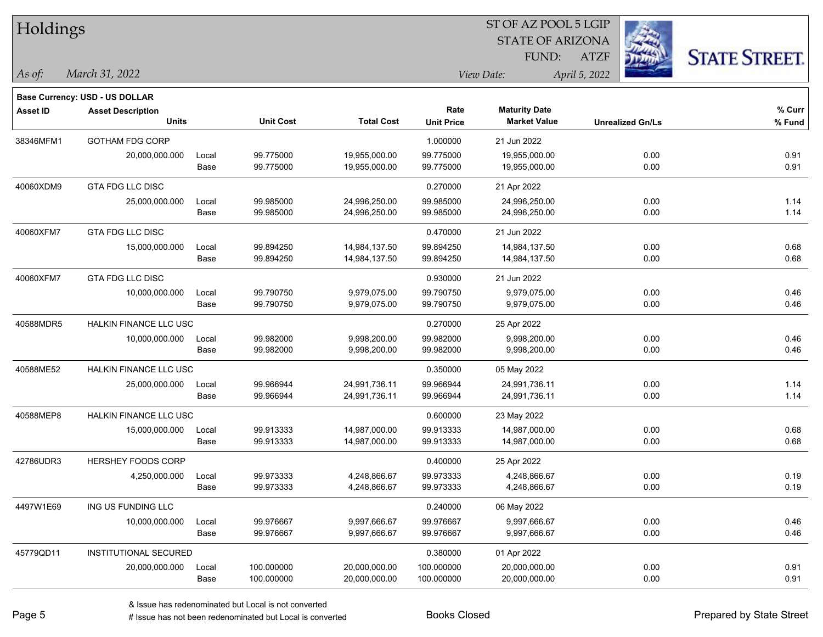| Holdings        |                                |       |                  |                   | ST OF AZ POOL 5 LGIP |                         |                         |                      |  |  |
|-----------------|--------------------------------|-------|------------------|-------------------|----------------------|-------------------------|-------------------------|----------------------|--|--|
|                 |                                |       |                  |                   |                      | <b>STATE OF ARIZONA</b> |                         |                      |  |  |
|                 |                                |       |                  |                   |                      | FUND:                   | <b>ATZF</b>             | <b>STATE STREET.</b> |  |  |
| As of:          | March 31, 2022                 |       |                  |                   |                      | View Date:              | April 5, 2022           |                      |  |  |
|                 | Base Currency: USD - US DOLLAR |       |                  |                   |                      |                         |                         |                      |  |  |
| <b>Asset ID</b> | <b>Asset Description</b>       |       |                  |                   | Rate                 | <b>Maturity Date</b>    |                         | % Curr               |  |  |
|                 | <b>Units</b>                   |       | <b>Unit Cost</b> | <b>Total Cost</b> | <b>Unit Price</b>    | <b>Market Value</b>     | <b>Unrealized Gn/Ls</b> | % Fund               |  |  |
| 38346MFM1       | <b>GOTHAM FDG CORP</b>         |       |                  |                   | 1.000000             | 21 Jun 2022             |                         |                      |  |  |
|                 | 20,000,000.000                 | Local | 99.775000        | 19,955,000.00     | 99.775000            | 19,955,000.00           | 0.00                    | 0.91                 |  |  |
|                 |                                | Base  | 99.775000        | 19,955,000.00     | 99.775000            | 19,955,000.00           | 0.00                    | 0.91                 |  |  |
| 40060XDM9       | GTA FDG LLC DISC               |       |                  |                   | 0.270000             | 21 Apr 2022             |                         |                      |  |  |
|                 | 25,000,000.000                 | Local | 99.985000        | 24,996,250.00     | 99.985000            | 24,996,250.00           | 0.00                    | 1.14                 |  |  |
|                 |                                | Base  | 99.985000        | 24,996,250.00     | 99.985000            | 24,996,250.00           | 0.00                    | 1.14                 |  |  |
| 40060XFM7       | <b>GTA FDG LLC DISC</b>        |       |                  |                   | 0.470000             | 21 Jun 2022             |                         |                      |  |  |
|                 | 15,000,000.000                 | Local | 99.894250        | 14,984,137.50     | 99.894250            | 14,984,137.50           | 0.00                    | 0.68                 |  |  |
|                 |                                | Base  | 99.894250        | 14,984,137.50     | 99.894250            | 14,984,137.50           | 0.00                    | 0.68                 |  |  |
| 40060XFM7       | GTA FDG LLC DISC               |       |                  |                   | 0.930000             | 21 Jun 2022             |                         |                      |  |  |
|                 | 10,000,000.000                 | Local | 99.790750        | 9,979,075.00      | 99.790750            | 9,979,075.00            | 0.00                    | 0.46                 |  |  |
|                 |                                | Base  | 99.790750        | 9,979,075.00      | 99.790750            | 9,979,075.00            | 0.00                    | 0.46                 |  |  |
| 40588MDR5       | <b>HALKIN FINANCE LLC USC</b>  |       |                  |                   | 0.270000             | 25 Apr 2022             |                         |                      |  |  |
|                 | 10,000,000.000                 | Local | 99.982000        | 9,998,200.00      | 99.982000            | 9,998,200.00            | 0.00                    | 0.46                 |  |  |
|                 |                                | Base  | 99.982000        | 9,998,200.00      | 99.982000            | 9,998,200.00            | 0.00                    | 0.46                 |  |  |
| 40588ME52       | <b>HALKIN FINANCE LLC USC</b>  |       |                  |                   | 0.350000             | 05 May 2022             |                         |                      |  |  |
|                 | 25,000,000.000                 | Local | 99.966944        | 24,991,736.11     | 99.966944            | 24,991,736.11           | 0.00                    | 1.14                 |  |  |
|                 |                                | Base  | 99.966944        | 24,991,736.11     | 99.966944            | 24,991,736.11           | 0.00                    | 1.14                 |  |  |
| 40588MEP8       | HALKIN FINANCE LLC USC         |       |                  |                   | 0.600000             | 23 May 2022             |                         |                      |  |  |
|                 | 15,000,000.000                 | Local | 99.913333        | 14,987,000.00     | 99.913333            | 14,987,000.00           | 0.00                    | 0.68                 |  |  |
|                 |                                | Base  | 99.913333        | 14,987,000.00     | 99.913333            | 14,987,000.00           | 0.00                    | 0.68                 |  |  |
| 42786UDR3       | <b>HERSHEY FOODS CORP</b>      |       |                  |                   | 0.400000             | 25 Apr 2022             |                         |                      |  |  |
|                 | 4,250,000.000                  | Local | 99.973333        | 4,248,866.67      | 99.973333            | 4,248,866.67            | 0.00                    | 0.19                 |  |  |
|                 |                                | Base  | 99.973333        | 4,248,866.67      | 99.973333            | 4,248,866.67            | 0.00                    | 0.19                 |  |  |
| 4497W1E69       | ING US FUNDING LLC             |       |                  |                   | 0.240000             | 06 May 2022             |                         |                      |  |  |
|                 | 10,000,000.000                 | Local | 99.976667        | 9,997,666.67      | 99.976667            | 9,997,666.67            | 0.00                    | 0.46                 |  |  |
|                 |                                | Base  | 99.976667        | 9,997,666.67      | 99.976667            | 9,997,666.67            | 0.00                    | 0.46                 |  |  |
| 45779QD11       | INSTITUTIONAL SECURED          |       |                  |                   | 0.380000             | 01 Apr 2022             |                         |                      |  |  |
|                 | 20,000,000.000                 | Local | 100.000000       | 20,000,000.00     | 100.000000           | 20,000,000.00           | 0.00                    | 0.91                 |  |  |
|                 |                                | Base  | 100.000000       | 20,000,000.00     | 100.000000           | 20,000,000.00           | 0.00                    | 0.91                 |  |  |

# Issue has not been redenominated but Local is converted Books Closed Prepared by State Street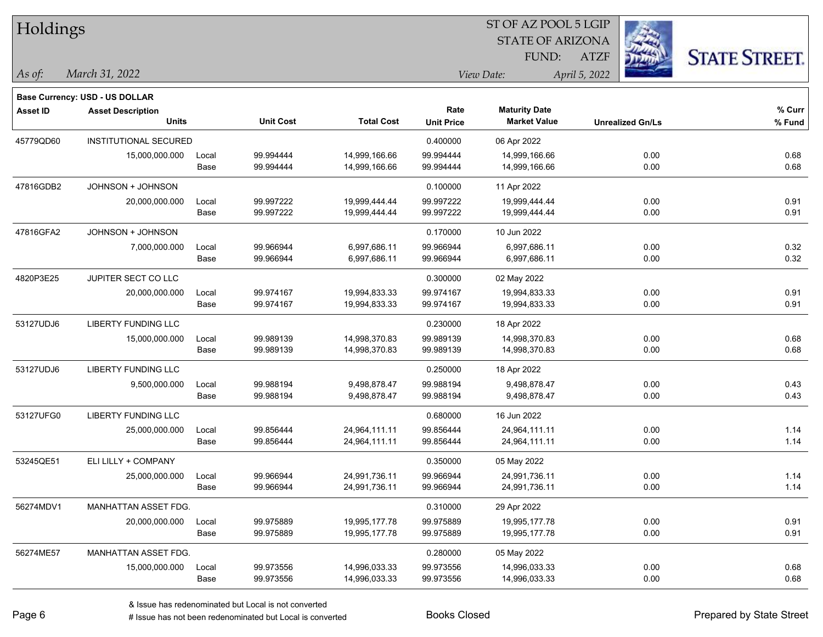| Holdings        |                                       |       |                  |                   |                   | 51 OF AZ POOL 5 LGIP    |                         |                      |
|-----------------|---------------------------------------|-------|------------------|-------------------|-------------------|-------------------------|-------------------------|----------------------|
|                 |                                       |       |                  |                   |                   | <b>STATE OF ARIZONA</b> |                         |                      |
|                 |                                       |       |                  |                   |                   | FUND:                   | <b>ATZF</b>             | <b>STATE STREET.</b> |
| As of:          | March 31, 2022                        |       |                  |                   |                   | View Date:              | April 5, 2022           |                      |
|                 | <b>Base Currency: USD - US DOLLAR</b> |       |                  |                   |                   |                         |                         |                      |
| <b>Asset ID</b> | <b>Asset Description</b>              |       |                  |                   | Rate              | <b>Maturity Date</b>    |                         | % Curr               |
|                 | <b>Units</b>                          |       | <b>Unit Cost</b> | <b>Total Cost</b> | <b>Unit Price</b> | <b>Market Value</b>     | <b>Unrealized Gn/Ls</b> | % Fund               |
| 45779QD60       | INSTITUTIONAL SECURED                 |       |                  |                   | 0.400000          | 06 Apr 2022             |                         |                      |
|                 | 15,000,000.000                        | Local | 99.994444        | 14,999,166.66     | 99.994444         | 14,999,166.66           | 0.00                    | 0.68                 |
|                 |                                       | Base  | 99.994444        | 14,999,166.66     | 99.994444         | 14,999,166.66           | 0.00                    | 0.68                 |
| 47816GDB2       | JOHNSON + JOHNSON                     |       |                  |                   | 0.100000          | 11 Apr 2022             |                         |                      |
|                 | 20,000,000.000                        | Local | 99.997222        | 19,999,444.44     | 99.997222         | 19,999,444.44           | 0.00                    | 0.91                 |
|                 |                                       | Base  | 99.997222        | 19,999,444.44     | 99.997222         | 19,999,444.44           | 0.00                    | 0.91                 |
| 47816GFA2       | JOHNSON + JOHNSON                     |       |                  |                   | 0.170000          | 10 Jun 2022             |                         |                      |
|                 | 7,000,000.000                         | Local | 99.966944        | 6,997,686.11      | 99.966944         | 6,997,686.11            | 0.00                    | 0.32                 |
|                 |                                       | Base  | 99.966944        | 6,997,686.11      | 99.966944         | 6,997,686.11            | 0.00                    | 0.32                 |
| 4820P3E25       | JUPITER SECT CO LLC                   |       |                  |                   | 0.300000          | 02 May 2022             |                         |                      |
|                 | 20,000,000.000                        | Local | 99.974167        | 19,994,833.33     | 99.974167         | 19,994,833.33           | 0.00                    | 0.91                 |
|                 |                                       | Base  | 99.974167        | 19,994,833.33     | 99.974167         | 19,994,833.33           | 0.00                    | 0.91                 |
| 53127UDJ6       | <b>LIBERTY FUNDING LLC</b>            |       |                  |                   | 0.230000          | 18 Apr 2022             |                         |                      |
|                 | 15,000,000.000                        | Local | 99.989139        | 14,998,370.83     | 99.989139         | 14,998,370.83           | 0.00                    | 0.68                 |
|                 |                                       | Base  | 99.989139        | 14,998,370.83     | 99.989139         | 14,998,370.83           | 0.00                    | 0.68                 |
| 53127UDJ6       | <b>LIBERTY FUNDING LLC</b>            |       |                  |                   | 0.250000          | 18 Apr 2022             |                         |                      |
|                 | 9,500,000.000                         | Local | 99.988194        | 9,498,878.47      | 99.988194         | 9,498,878.47            | 0.00                    | 0.43                 |
|                 |                                       | Base  | 99.988194        | 9,498,878.47      | 99.988194         | 9,498,878.47            | 0.00                    | 0.43                 |
| 53127UFG0       | <b>LIBERTY FUNDING LLC</b>            |       |                  |                   | 0.680000          | 16 Jun 2022             |                         |                      |
|                 | 25,000,000.000                        | Local | 99.856444        | 24,964,111.11     | 99.856444         | 24,964,111.11           | 0.00                    | 1.14                 |
|                 |                                       | Base  | 99.856444        | 24,964,111.11     | 99.856444         | 24,964,111.11           | 0.00                    | 1.14                 |
| 53245QE51       | ELI LILLY + COMPANY                   |       |                  |                   | 0.350000          | 05 May 2022             |                         |                      |
|                 | 25,000,000.000                        | Local | 99.966944        | 24,991,736.11     | 99.966944         | 24,991,736.11           | 0.00                    | 1.14                 |
|                 |                                       | Base  | 99.966944        | 24,991,736.11     | 99.966944         | 24,991,736.11           | 0.00                    | 1.14                 |
| 56274MDV1       | MANHATTAN ASSET FDG.                  |       |                  |                   | 0.310000          | 29 Apr 2022             |                         |                      |
|                 | 20,000,000.000                        | Local | 99.975889        | 19,995,177.78     | 99.975889         | 19,995,177.78           | 0.00                    | 0.91                 |
|                 |                                       | Base  | 99.975889        | 19,995,177.78     | 99.975889         | 19,995,177.78           | 0.00                    | 0.91                 |
| 56274ME57       | MANHATTAN ASSET FDG.                  |       |                  |                   | 0.280000          | 05 May 2022             |                         |                      |
|                 | 15,000,000.000                        | Local | 99.973556        | 14,996,033.33     | 99.973556         | 14,996,033.33           | 0.00                    | 0.68                 |
|                 |                                       | Base  | 99.973556        | 14,996,033.33     | 99.973556         | 14,996,033.33           | 0.00                    | 0.68                 |

 $ST$  OF AZ POOL 5 LGIP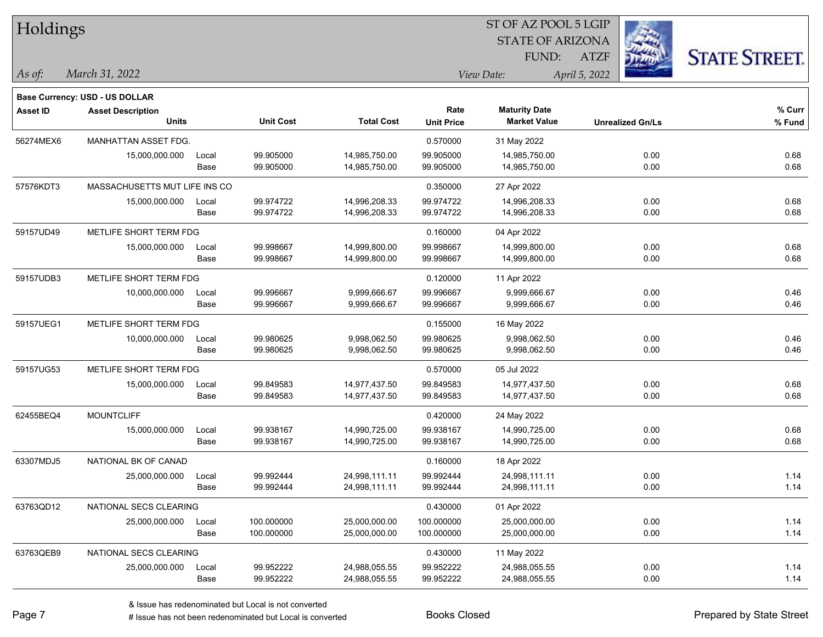|                 |                                       |       |                  |                   |                   | 51 OF AZ POOL 5 LGIP    |                         |                      |
|-----------------|---------------------------------------|-------|------------------|-------------------|-------------------|-------------------------|-------------------------|----------------------|
| Holdings        |                                       |       |                  |                   |                   | <b>STATE OF ARIZONA</b> | Ź.                      |                      |
|                 |                                       |       |                  |                   |                   | FUND:                   | <b>ATZF</b>             | <b>STATE STREET.</b> |
| As of:          | March 31, 2022                        |       |                  |                   |                   | View Date:              | April 5, 2022           |                      |
|                 | <b>Base Currency: USD - US DOLLAR</b> |       |                  |                   |                   |                         |                         |                      |
| <b>Asset ID</b> | <b>Asset Description</b>              |       |                  |                   | Rate              | <b>Maturity Date</b>    |                         | % Curr               |
|                 | <b>Units</b>                          |       | <b>Unit Cost</b> | <b>Total Cost</b> | <b>Unit Price</b> | <b>Market Value</b>     | <b>Unrealized Gn/Ls</b> | % Fund               |
| 56274MEX6       | <b>MANHATTAN ASSET FDG.</b>           |       |                  |                   | 0.570000          | 31 May 2022             |                         |                      |
|                 | 15,000,000.000                        | Local | 99.905000        | 14,985,750.00     | 99.905000         | 14,985,750.00           | 0.00                    | 0.68                 |
|                 |                                       | Base  | 99.905000        | 14,985,750.00     | 99.905000         | 14,985,750.00           | 0.00                    | 0.68                 |
| 57576KDT3       | MASSACHUSETTS MUT LIFE INS CO         |       |                  |                   | 0.350000          | 27 Apr 2022             |                         |                      |
|                 | 15,000,000.000                        | Local | 99.974722        | 14,996,208.33     | 99.974722         | 14,996,208.33           | 0.00                    | 0.68                 |
|                 |                                       | Base  | 99.974722        | 14,996,208.33     | 99.974722         | 14,996,208.33           | 0.00                    | 0.68                 |
| 59157UD49       | METLIFE SHORT TERM FDG                |       |                  |                   | 0.160000          | 04 Apr 2022             |                         |                      |
|                 | 15,000,000.000                        | Local | 99.998667        | 14,999,800.00     | 99.998667         | 14,999,800.00           | 0.00                    | 0.68                 |
|                 |                                       | Base  | 99.998667        | 14,999,800.00     | 99.998667         | 14,999,800.00           | 0.00                    | 0.68                 |
| 59157UDB3       | METLIFE SHORT TERM FDG                |       |                  |                   | 0.120000          | 11 Apr 2022             |                         |                      |
|                 | 10,000,000.000                        | Local | 99.996667        | 9,999,666.67      | 99.996667         | 9,999,666.67            | 0.00                    | 0.46                 |
|                 |                                       | Base  | 99.996667        | 9,999,666.67      | 99.996667         | 9,999,666.67            | 0.00                    | 0.46                 |
| 59157UEG1       | METLIFE SHORT TERM FDG                |       |                  |                   | 0.155000          | 16 May 2022             |                         |                      |
|                 | 10,000,000.000                        | Local | 99.980625        | 9,998,062.50      | 99.980625         | 9,998,062.50            | 0.00                    | 0.46                 |
|                 |                                       | Base  | 99.980625        | 9,998,062.50      | 99.980625         | 9,998,062.50            | 0.00                    | 0.46                 |
| 59157UG53       | METLIFE SHORT TERM FDG                |       |                  |                   | 0.570000          | 05 Jul 2022             |                         |                      |
|                 | 15,000,000.000                        | Local | 99.849583        | 14,977,437.50     | 99.849583         | 14,977,437.50           | 0.00                    | 0.68                 |
|                 |                                       | Base  | 99.849583        | 14,977,437.50     | 99.849583         | 14,977,437.50           | 0.00                    | 0.68                 |
| 62455BEQ4       | <b>MOUNTCLIFF</b>                     |       |                  |                   | 0.420000          | 24 May 2022             |                         |                      |
|                 | 15,000,000.000                        | Local | 99.938167        | 14,990,725.00     | 99.938167         | 14,990,725.00           | 0.00                    | 0.68                 |
|                 |                                       | Base  | 99.938167        | 14,990,725.00     | 99.938167         | 14,990,725.00           | 0.00                    | 0.68                 |
| 63307MDJ5       | NATIONAL BK OF CANAD                  |       |                  |                   | 0.160000          | 18 Apr 2022             |                         |                      |
|                 | 25,000,000.000                        | Local | 99.992444        | 24,998,111.11     | 99.992444         | 24,998,111.11           | 0.00                    | 1.14                 |
|                 |                                       | Base  | 99.992444        | 24,998,111.11     | 99.992444         | 24,998,111.11           | 0.00                    | 1.14                 |
| 63763QD12       | NATIONAL SECS CLEARING                |       |                  |                   | 0.430000          | 01 Apr 2022             |                         |                      |
|                 | 25,000,000.000                        | Local | 100.000000       | 25,000,000.00     | 100.000000        | 25,000,000.00           | 0.00                    | 1.14                 |
|                 |                                       | Base  | 100.000000       | 25,000,000.00     | 100.000000        | 25,000,000.00           | 0.00                    | 1.14                 |
| 63763QEB9       | NATIONAL SECS CLEARING                |       |                  |                   | 0.430000          | 11 May 2022             |                         |                      |
|                 | 25,000,000.000                        | Local | 99.952222        | 24,988,055.55     | 99.952222         | 24,988,055.55           | 0.00                    | 1.14                 |
|                 |                                       | Base  | 99.952222        | 24,988,055.55     | 99.952222         | 24,988,055.55           | 0.00                    | 1.14                 |

 $\overline{S}$   $\overline{S}$   $\overline{S}$   $\overline{S}$   $\overline{S}$   $\overline{S}$   $\overline{S}$   $\overline{S}$   $\overline{S}$   $\overline{S}$   $\overline{S}$   $\overline{S}$   $\overline{S}$   $\overline{S}$   $\overline{S}$   $\overline{S}$   $\overline{S}$   $\overline{S}$   $\overline{S}$   $\overline{S}$   $\overline{S}$   $\overline{S}$   $\overline{S}$   $\overline{S}$   $\overline{$ 

٦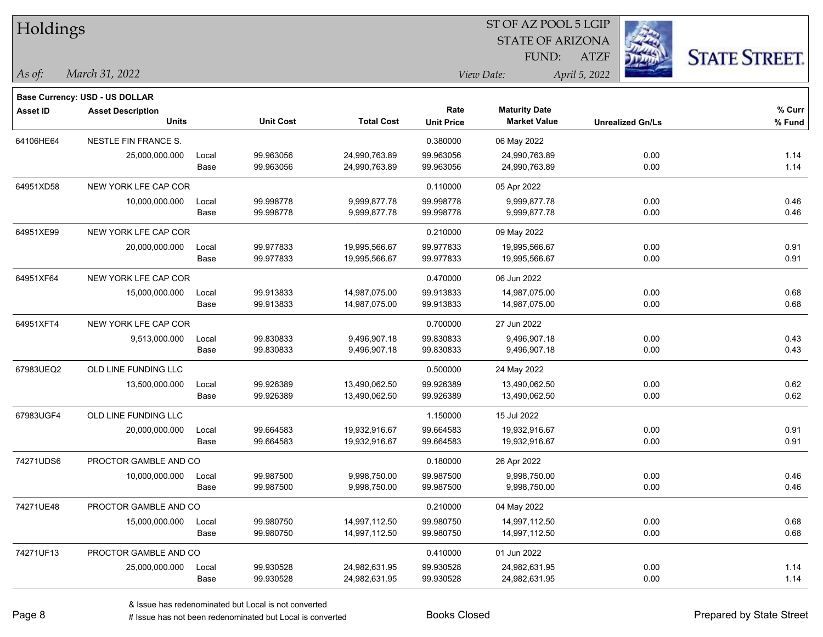| Holdings        |                                       |       |                  |                   |                   | ST OF AZ POOL 5 LGIP    |                         |                      |
|-----------------|---------------------------------------|-------|------------------|-------------------|-------------------|-------------------------|-------------------------|----------------------|
|                 |                                       |       |                  |                   |                   | <b>STATE OF ARIZONA</b> |                         |                      |
|                 |                                       |       |                  |                   |                   | FUND:                   | <b>ATZF</b>             | <b>STATE STREET.</b> |
| As of:          | March 31, 2022                        |       |                  |                   |                   | View Date:              | April 5, 2022           |                      |
|                 | <b>Base Currency: USD - US DOLLAR</b> |       |                  |                   |                   |                         |                         |                      |
| <b>Asset ID</b> | <b>Asset Description</b>              |       |                  |                   | Rate              | <b>Maturity Date</b>    |                         | % Curr               |
|                 | <b>Units</b>                          |       | <b>Unit Cost</b> | <b>Total Cost</b> | <b>Unit Price</b> | <b>Market Value</b>     | <b>Unrealized Gn/Ls</b> | % Fund               |
| 64106HE64       | <b>NESTLE FIN FRANCE S.</b>           |       |                  |                   | 0.380000          | 06 May 2022             |                         |                      |
|                 | 25,000,000.000                        | Local | 99.963056        | 24,990,763.89     | 99.963056         | 24,990,763.89           | 0.00                    | 1.14                 |
|                 |                                       | Base  | 99.963056        | 24,990,763.89     | 99.963056         | 24,990,763.89           | 0.00                    | 1.14                 |
| 64951XD58       | NEW YORK LFE CAP COR                  |       |                  |                   | 0.110000          | 05 Apr 2022             |                         |                      |
|                 | 10,000,000.000                        | Local | 99.998778        | 9,999,877.78      | 99.998778         | 9,999,877.78            | 0.00                    | 0.46                 |
|                 |                                       | Base  | 99.998778        | 9,999,877.78      | 99.998778         | 9,999,877.78            | 0.00                    | 0.46                 |
| 64951XE99       | NEW YORK LFE CAP COR                  |       |                  |                   | 0.210000          | 09 May 2022             |                         |                      |
|                 | 20,000,000.000                        | Local | 99.977833        | 19,995,566.67     | 99.977833         | 19,995,566.67           | 0.00                    | 0.91                 |
|                 |                                       | Base  | 99.977833        | 19,995,566.67     | 99.977833         | 19,995,566.67           | 0.00                    | 0.91                 |
| 64951XF64       | NEW YORK LFE CAP COR                  |       |                  |                   | 0.470000          | 06 Jun 2022             |                         |                      |
|                 | 15,000,000.000                        | Local | 99.913833        | 14,987,075.00     | 99.913833         | 14,987,075.00           | 0.00                    | 0.68                 |
|                 |                                       | Base  | 99.913833        | 14,987,075.00     | 99.913833         | 14,987,075.00           | 0.00                    | 0.68                 |
| 64951XFT4       | NEW YORK LFE CAP COR                  |       |                  |                   | 0.700000          | 27 Jun 2022             |                         |                      |
|                 | 9,513,000.000                         | Local | 99.830833        | 9,496,907.18      | 99.830833         | 9,496,907.18            | 0.00                    | 0.43                 |
|                 |                                       | Base  | 99.830833        | 9,496,907.18      | 99.830833         | 9,496,907.18            | 0.00                    | 0.43                 |
| 67983UEQ2       | OLD LINE FUNDING LLC                  |       |                  |                   | 0.500000          | 24 May 2022             |                         |                      |
|                 | 13,500,000.000                        | Local | 99.926389        | 13,490,062.50     | 99.926389         | 13,490,062.50           | 0.00                    | 0.62                 |
|                 |                                       | Base  | 99.926389        | 13,490,062.50     | 99.926389         | 13,490,062.50           | 0.00                    | 0.62                 |
| 67983UGF4       | OLD LINE FUNDING LLC                  |       |                  |                   | 1.150000          | 15 Jul 2022             |                         |                      |
|                 | 20,000,000.000                        | Local | 99.664583        | 19,932,916.67     | 99.664583         | 19,932,916.67           | 0.00                    | 0.91                 |
|                 |                                       | Base  | 99.664583        | 19,932,916.67     | 99.664583         | 19,932,916.67           | 0.00                    | 0.91                 |
| 74271UDS6       | PROCTOR GAMBLE AND CO                 |       |                  |                   | 0.180000          | 26 Apr 2022             |                         |                      |
|                 | 10,000,000.000                        | Local | 99.987500        | 9,998,750.00      | 99.987500         | 9,998,750.00            | 0.00                    | 0.46                 |
|                 |                                       | Base  | 99.987500        | 9,998,750.00      | 99.987500         | 9,998,750.00            | 0.00                    | 0.46                 |
| 74271UE48       | PROCTOR GAMBLE AND CO                 |       |                  |                   | 0.210000          | 04 May 2022             |                         |                      |
|                 | 15,000,000.000                        | Local | 99.980750        | 14,997,112.50     | 99.980750         | 14,997,112.50           | 0.00                    | 0.68                 |
|                 |                                       | Base  | 99.980750        | 14,997,112.50     | 99.980750         | 14,997,112.50           | 0.00                    | 0.68                 |
| 74271UF13       | PROCTOR GAMBLE AND CO                 |       |                  |                   | 0.410000          | 01 Jun 2022             |                         |                      |
|                 | 25,000,000.000                        | Local | 99.930528        | 24,982,631.95     | 99.930528         | 24,982,631.95           | 0.00                    | 1.14                 |
|                 |                                       | Base  | 99.930528        | 24,982,631.95     | 99.930528         | 24,982,631.95           | 0.00                    | 1.14                 |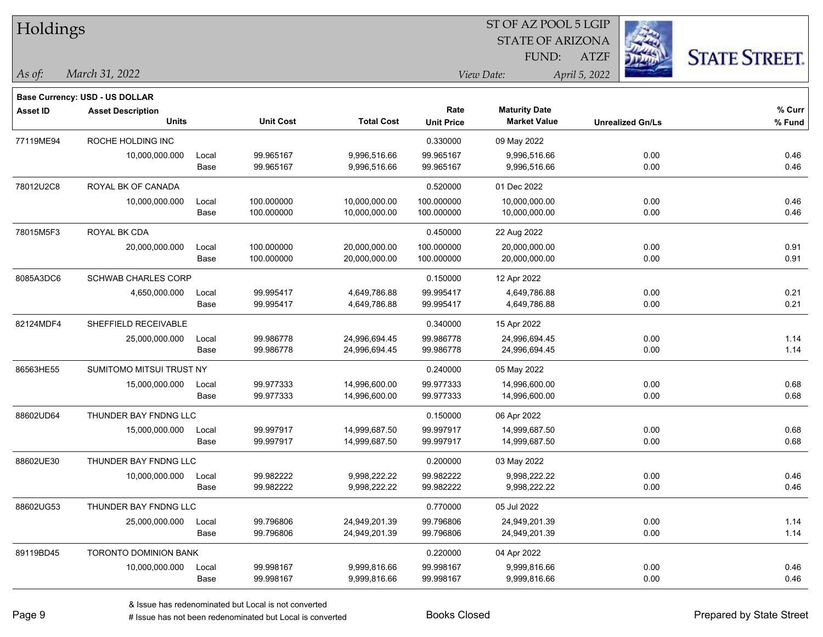| Holdings        |                                          |       |                        |                              |                           | 51 OF AZ POOL 5 LGIP<br><b>STATE OF ARIZONA</b> | Ż.                      |                      |
|-----------------|------------------------------------------|-------|------------------------|------------------------------|---------------------------|-------------------------------------------------|-------------------------|----------------------|
|                 |                                          |       |                        |                              |                           | FUND:                                           | <b>ATZF</b>             | <b>STATE STREET.</b> |
| As of:          | March 31, 2022                           |       |                        |                              |                           | View Date:                                      | April 5, 2022           |                      |
|                 | <b>Base Currency: USD - US DOLLAR</b>    |       |                        |                              |                           |                                                 |                         |                      |
| <b>Asset ID</b> | <b>Asset Description</b><br><b>Units</b> |       | <b>Unit Cost</b>       | <b>Total Cost</b>            | Rate<br><b>Unit Price</b> | <b>Maturity Date</b><br><b>Market Value</b>     | <b>Unrealized Gn/Ls</b> | % Curr<br>% Fund     |
| 77119ME94       | ROCHE HOLDING INC                        |       |                        |                              | 0.330000                  | 09 May 2022                                     |                         |                      |
|                 | 10,000,000.000                           | Local | 99.965167              | 9,996,516.66                 | 99.965167                 | 9,996,516.66                                    | 0.00                    | 0.46                 |
|                 |                                          | Base  | 99.965167              | 9,996,516.66                 | 99.965167                 | 9,996,516.66                                    | 0.00                    | 0.46                 |
| 78012U2C8       | ROYAL BK OF CANADA                       |       |                        |                              | 0.520000                  | 01 Dec 2022                                     |                         |                      |
|                 | 10,000,000.000                           | Local | 100.000000             | 10,000,000.00                | 100.000000                | 10,000,000.00                                   | 0.00                    | 0.46                 |
|                 |                                          | Base  | 100.000000             | 10,000,000.00                | 100.000000                | 10,000,000.00                                   | 0.00                    | 0.46                 |
| 78015M5F3       | ROYAL BK CDA                             |       |                        |                              | 0.450000                  | 22 Aug 2022                                     |                         |                      |
|                 | 20,000,000.000                           | Local | 100.000000             | 20,000,000.00                | 100.000000                | 20,000,000.00                                   | 0.00                    | 0.91                 |
|                 |                                          | Base  | 100.000000             | 20,000,000.00                | 100.000000                | 20,000,000.00                                   | 0.00                    | 0.91                 |
| 8085A3DC6       | <b>SCHWAB CHARLES CORP</b>               |       |                        |                              | 0.150000                  | 12 Apr 2022                                     |                         |                      |
|                 | 4,650,000.000                            | Local | 99.995417              | 4,649,786.88                 | 99.995417                 | 4,649,786.88                                    | 0.00                    | 0.21                 |
|                 |                                          | Base  | 99.995417              | 4,649,786.88                 | 99.995417                 | 4,649,786.88                                    | 0.00                    | 0.21                 |
| 82124MDF4       | SHEFFIELD RECEIVABLE                     |       |                        |                              | 0.340000                  | 15 Apr 2022                                     |                         |                      |
|                 | 25,000,000.000                           | Local | 99.986778              | 24,996,694.45                | 99.986778                 | 24,996,694.45                                   | 0.00                    | 1.14                 |
|                 |                                          | Base  | 99.986778              | 24,996,694.45                | 99.986778                 | 24,996,694.45                                   | 0.00                    | 1.14                 |
| 86563HE55       | SUMITOMO MITSUI TRUST NY                 |       |                        |                              | 0.240000                  | 05 May 2022                                     |                         |                      |
|                 | 15,000,000.000                           | Local | 99.977333              | 14,996,600.00                | 99.977333                 | 14,996,600.00                                   | 0.00                    | 0.68                 |
|                 |                                          | Base  | 99.977333              | 14,996,600.00                | 99.977333                 | 14,996,600.00                                   | 0.00                    | 0.68                 |
| 88602UD64       | THUNDER BAY FNDNG LLC                    |       |                        |                              | 0.150000                  | 06 Apr 2022                                     |                         |                      |
|                 | 15,000,000.000                           | Local | 99.997917              | 14,999,687.50                | 99.997917                 | 14,999,687.50                                   | 0.00                    | 0.68                 |
|                 |                                          | Base  | 99.997917              | 14,999,687.50                | 99.997917                 | 14,999,687.50                                   | 0.00                    | 0.68                 |
| 88602UE30       | THUNDER BAY FNDNG LLC                    |       |                        |                              | 0.200000                  | 03 May 2022                                     |                         |                      |
|                 | 10,000,000.000                           | Local | 99.982222              | 9,998,222.22                 | 99.982222                 | 9,998,222.22                                    | 0.00                    | 0.46                 |
|                 |                                          | Base  | 99.982222              | 9,998,222.22                 | 99.982222                 | 9,998,222.22                                    | 0.00                    | 0.46                 |
| 88602UG53       | THUNDER BAY FNDNG LLC                    |       |                        |                              | 0.770000                  | 05 Jul 2022                                     |                         |                      |
|                 | 25,000,000.000                           | Local | 99.796806              | 24,949,201.39                | 99.796806                 | 24,949,201.39                                   | 0.00                    | 1.14                 |
|                 |                                          | Base  | 99.796806              | 24,949,201.39                | 99.796806                 | 24,949,201.39                                   | 0.00                    | 1.14                 |
| 89119BD45       | <b>TORONTO DOMINION BANK</b>             |       |                        |                              | 0.220000                  | 04 Apr 2022                                     |                         |                      |
|                 | 10,000,000.000                           | Local | 99.998167<br>99.998167 | 9,999,816.66<br>9,999,816.66 | 99.998167<br>99.998167    | 9,999,816.66<br>9,999,816.66                    | 0.00<br>0.00            | 0.46<br>0.46         |
|                 |                                          | Base  |                        |                              |                           |                                                 |                         |                      |

 $ST$  OF AZ POOL 5 LGIP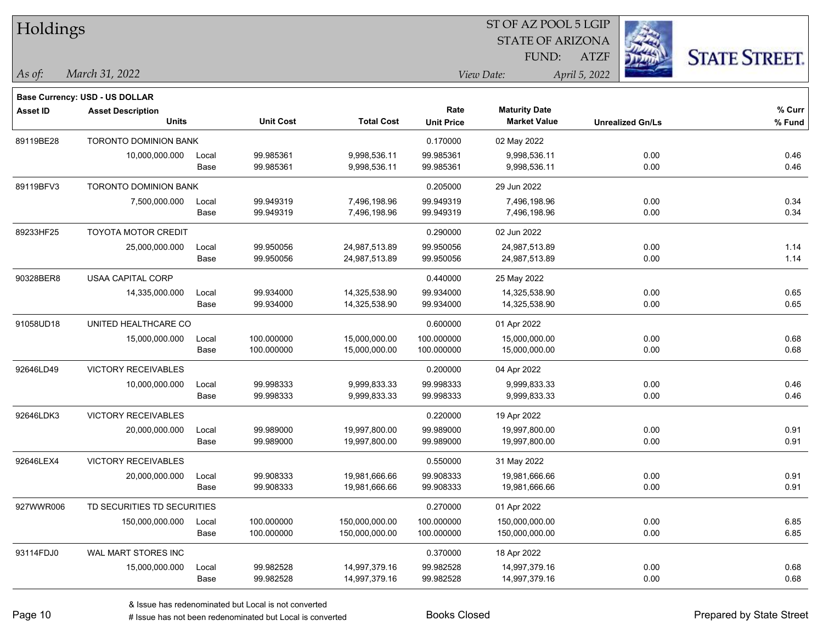| Holdings        |                                       |       |                  |                   |                   | ST OF AZ POOL 5 LGIP    |                         |                      |
|-----------------|---------------------------------------|-------|------------------|-------------------|-------------------|-------------------------|-------------------------|----------------------|
|                 |                                       |       |                  |                   |                   | <b>STATE OF ARIZONA</b> |                         |                      |
|                 |                                       |       |                  |                   |                   | FUND:                   | <b>ATZF</b>             | <b>STATE STREET.</b> |
| As of:          | March 31, 2022                        |       |                  |                   |                   | View Date:              | April 5, 2022           |                      |
|                 | <b>Base Currency: USD - US DOLLAR</b> |       |                  |                   |                   |                         |                         |                      |
| <b>Asset ID</b> | <b>Asset Description</b>              |       |                  |                   | Rate              | <b>Maturity Date</b>    |                         | % Curr               |
|                 | <b>Units</b>                          |       | <b>Unit Cost</b> | <b>Total Cost</b> | <b>Unit Price</b> | <b>Market Value</b>     | <b>Unrealized Gn/Ls</b> | % Fund               |
| 89119BE28       | TORONTO DOMINION BANK                 |       |                  |                   | 0.170000          | 02 May 2022             |                         |                      |
|                 | 10,000,000.000                        | Local | 99.985361        | 9,998,536.11      | 99.985361         | 9,998,536.11            | 0.00                    | 0.46                 |
|                 |                                       | Base  | 99.985361        | 9,998,536.11      | 99.985361         | 9,998,536.11            | 0.00                    | 0.46                 |
| 89119BFV3       | <b>TORONTO DOMINION BANK</b>          |       |                  |                   | 0.205000          | 29 Jun 2022             |                         |                      |
|                 | 7,500,000.000                         | Local | 99.949319        | 7,496,198.96      | 99.949319         | 7,496,198.96            | 0.00                    | 0.34                 |
|                 |                                       | Base  | 99.949319        | 7,496,198.96      | 99.949319         | 7,496,198.96            | 0.00                    | 0.34                 |
| 89233HF25       | <b>TOYOTA MOTOR CREDIT</b>            |       |                  |                   | 0.290000          | 02 Jun 2022             |                         |                      |
|                 | 25,000,000.000                        | Local | 99.950056        | 24,987,513.89     | 99.950056         | 24,987,513.89           | 0.00                    | 1.14                 |
|                 |                                       | Base  | 99.950056        | 24,987,513.89     | 99.950056         | 24,987,513.89           | 0.00                    | 1.14                 |
| 90328BER8       | USAA CAPITAL CORP                     |       |                  |                   | 0.440000          | 25 May 2022             |                         |                      |
|                 | 14,335,000.000                        | Local | 99.934000        | 14,325,538.90     | 99.934000         | 14,325,538.90           | 0.00                    | 0.65                 |
|                 |                                       | Base  | 99.934000        | 14,325,538.90     | 99.934000         | 14,325,538.90           | 0.00                    | 0.65                 |
| 91058UD18       | UNITED HEALTHCARE CO                  |       |                  |                   | 0.600000          | 01 Apr 2022             |                         |                      |
|                 | 15,000,000.000                        | Local | 100.000000       | 15,000,000.00     | 100.000000        | 15,000,000.00           | 0.00                    | 0.68                 |
|                 |                                       | Base  | 100.000000       | 15,000,000.00     | 100.000000        | 15,000,000.00           | 0.00                    | 0.68                 |
| 92646LD49       | <b>VICTORY RECEIVABLES</b>            |       |                  |                   | 0.200000          | 04 Apr 2022             |                         |                      |
|                 | 10,000,000.000                        | Local | 99.998333        | 9,999,833.33      | 99.998333         | 9,999,833.33            | 0.00                    | 0.46                 |
|                 |                                       | Base  | 99.998333        | 9,999,833.33      | 99.998333         | 9,999,833.33            | 0.00                    | 0.46                 |
| 92646LDK3       | VICTORY RECEIVABLES                   |       |                  |                   | 0.220000          | 19 Apr 2022             |                         |                      |
|                 | 20,000,000.000                        | Local | 99.989000        | 19,997,800.00     | 99.989000         | 19,997,800.00           | 0.00                    | 0.91                 |
|                 |                                       | Base  | 99.989000        | 19,997,800.00     | 99.989000         | 19,997,800.00           | 0.00                    | 0.91                 |
| 92646LEX4       | <b>VICTORY RECEIVABLES</b>            |       |                  |                   | 0.550000          | 31 May 2022             |                         |                      |
|                 | 20,000,000.000                        | Local | 99.908333        | 19,981,666.66     | 99.908333         | 19,981,666.66           | 0.00                    | 0.91                 |
|                 |                                       | Base  | 99.908333        | 19,981,666.66     | 99.908333         | 19,981,666.66           | 0.00                    | 0.91                 |
| 927WWR006       | TD SECURITIES TD SECURITIES           |       |                  |                   | 0.270000          | 01 Apr 2022             |                         |                      |
|                 | 150,000,000.000                       | Local | 100.000000       | 150,000,000.00    | 100.000000        | 150,000,000.00          | 0.00                    | 6.85                 |
|                 |                                       | Base  | 100.000000       | 150,000,000.00    | 100.000000        | 150,000,000.00          | 0.00                    | 6.85                 |
| 93114FDJ0       | WAL MART STORES INC                   |       |                  |                   | 0.370000          | 18 Apr 2022             |                         |                      |
|                 | 15,000,000.000                        | Local | 99.982528        | 14,997,379.16     | 99.982528         | 14,997,379.16           | 0.00                    | 0.68                 |
|                 |                                       | Base  | 99.982528        | 14,997,379.16     | 99.982528         | 14,997,379.16           | 0.00                    | 0.68                 |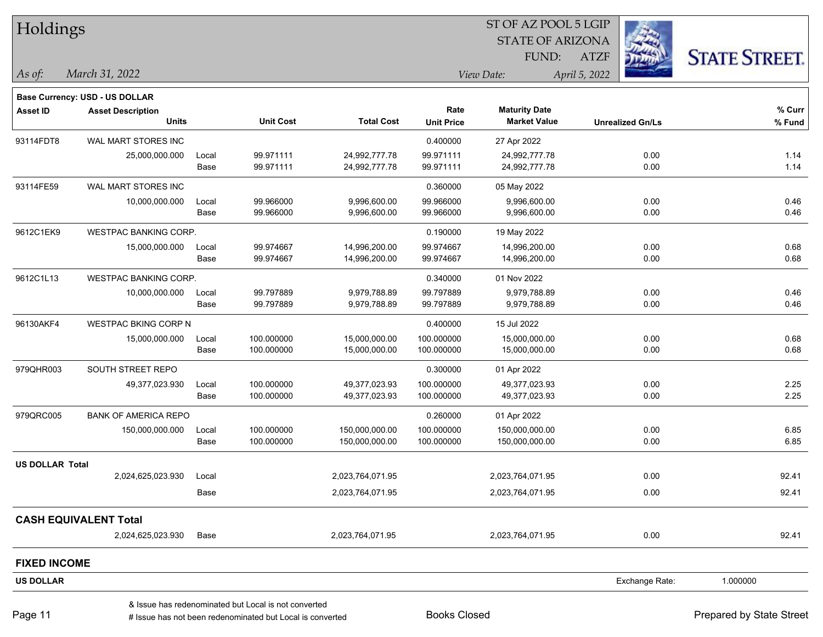| Holdings               |                                       |       |                                                      |                   |                   | ST OF AZ POOL 5 LGIP    |                         |                      |
|------------------------|---------------------------------------|-------|------------------------------------------------------|-------------------|-------------------|-------------------------|-------------------------|----------------------|
|                        |                                       |       |                                                      |                   |                   | <b>STATE OF ARIZONA</b> |                         |                      |
|                        |                                       |       |                                                      |                   |                   | FUND:                   | <b>ATZF</b>             | <b>STATE STREET.</b> |
| $\vert$ As of:         | March 31, 2022                        |       |                                                      |                   |                   | View Date:              | April 5, 2022           |                      |
|                        | <b>Base Currency: USD - US DOLLAR</b> |       |                                                      |                   |                   |                         |                         |                      |
| <b>Asset ID</b>        | <b>Asset Description</b>              |       |                                                      |                   | Rate              | <b>Maturity Date</b>    |                         | % Curr               |
|                        | <b>Units</b>                          |       | <b>Unit Cost</b>                                     | <b>Total Cost</b> | <b>Unit Price</b> | <b>Market Value</b>     | <b>Unrealized Gn/Ls</b> | % Fund               |
| 93114FDT8              | WAL MART STORES INC                   |       |                                                      |                   | 0.400000          | 27 Apr 2022             |                         |                      |
|                        | 25,000,000.000                        | Local | 99.971111                                            | 24,992,777.78     | 99.971111         | 24,992,777.78           | 0.00                    | 1.14                 |
|                        |                                       | Base  | 99.971111                                            | 24,992,777.78     | 99.971111         | 24,992,777.78           | 0.00                    | 1.14                 |
| 93114FE59              | WAL MART STORES INC                   |       |                                                      |                   | 0.360000          | 05 May 2022             |                         |                      |
|                        | 10,000,000.000                        | Local | 99.966000                                            | 9,996,600.00      | 99.966000         | 9,996,600.00            | 0.00                    | 0.46                 |
|                        |                                       | Base  | 99.966000                                            | 9,996,600.00      | 99.966000         | 9,996,600.00            | 0.00                    | 0.46                 |
| 9612C1EK9              | WESTPAC BANKING CORP.                 |       |                                                      |                   | 0.190000          | 19 May 2022             |                         |                      |
|                        | 15,000,000.000                        | Local | 99.974667                                            | 14,996,200.00     | 99.974667         | 14,996,200.00           | 0.00                    | 0.68                 |
|                        |                                       | Base  | 99.974667                                            | 14,996,200.00     | 99.974667         | 14,996,200.00           | 0.00                    | 0.68                 |
| 9612C1L13              | <b>WESTPAC BANKING CORP.</b>          |       |                                                      |                   | 0.340000          | 01 Nov 2022             |                         |                      |
|                        | 10,000,000.000                        | Local | 99.797889                                            | 9,979,788.89      | 99.797889         | 9,979,788.89            | 0.00                    | 0.46                 |
|                        |                                       | Base  | 99.797889                                            | 9,979,788.89      | 99.797889         | 9,979,788.89            | 0.00                    | 0.46                 |
| 96130AKF4              | WESTPAC BKING CORP N                  |       |                                                      |                   | 0.400000          | 15 Jul 2022             |                         |                      |
|                        | 15,000,000.000                        | Local | 100.000000                                           | 15,000,000.00     | 100.000000        | 15,000,000.00           | 0.00                    | 0.68                 |
|                        |                                       | Base  | 100.000000                                           | 15,000,000.00     | 100.000000        | 15,000,000.00           | 0.00                    | 0.68                 |
| 979QHR003              | SOUTH STREET REPO                     |       |                                                      |                   | 0.300000          | 01 Apr 2022             |                         |                      |
|                        | 49,377,023.930                        | Local | 100.000000                                           | 49,377,023.93     | 100.000000        | 49,377,023.93           | 0.00                    | 2.25                 |
|                        |                                       | Base  | 100.000000                                           | 49,377,023.93     | 100.000000        | 49,377,023.93           | 0.00                    | 2.25                 |
| 979QRC005              | <b>BANK OF AMERICA REPO</b>           |       |                                                      |                   | 0.260000          | 01 Apr 2022             |                         |                      |
|                        | 150,000,000.000                       | Local | 100.000000                                           | 150,000,000.00    | 100.000000        | 150,000,000.00          | 0.00                    | 6.85                 |
|                        |                                       | Base  | 100.000000                                           | 150,000,000.00    | 100.000000        | 150,000,000.00          | 0.00                    | 6.85                 |
| <b>US DOLLAR Total</b> |                                       |       |                                                      |                   |                   |                         |                         |                      |
|                        | 2,024,625,023.930                     | Local |                                                      | 2,023,764,071.95  |                   | 2,023,764,071.95        | 0.00                    | 92.41                |
|                        |                                       | Base  |                                                      | 2,023,764,071.95  |                   | 2,023,764,071.95        | 0.00                    | 92.41                |
|                        | <b>CASH EQUIVALENT Total</b>          |       |                                                      |                   |                   |                         |                         |                      |
|                        | 2,024,625,023.930                     | Base  |                                                      | 2,023,764,071.95  |                   | 2,023,764,071.95        | 0.00                    | 92.41                |
| <b>FIXED INCOME</b>    |                                       |       |                                                      |                   |                   |                         |                         |                      |
| <b>US DOLLAR</b>       |                                       |       |                                                      |                   |                   |                         | Exchange Rate:          | 1.000000             |
|                        |                                       |       | & Issue has redenominated but Local is not converted |                   |                   |                         |                         |                      |

# Issue has not been redenominated but Local is converted Books Closed Prepared by State Street

٦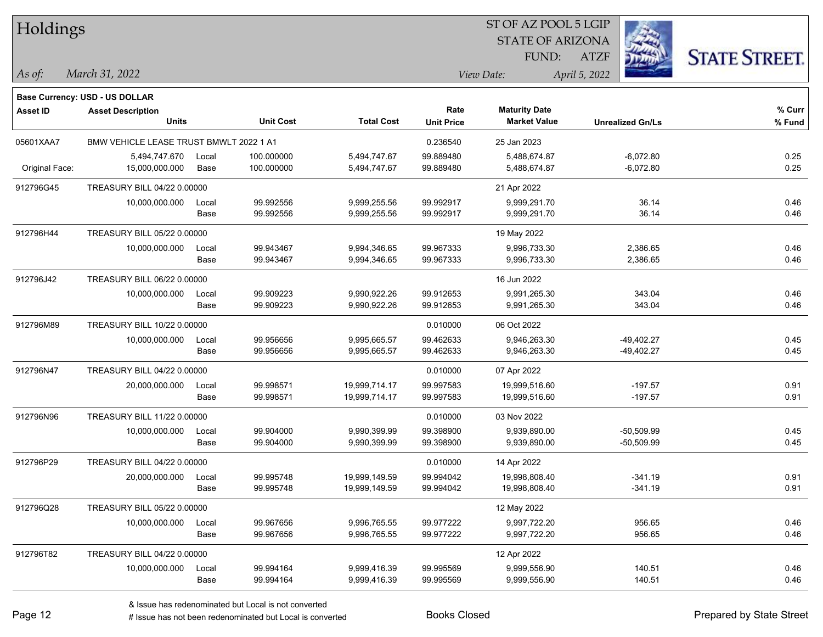| Holdings       |                                         |       |                  |                   | SI OF AZ POOL 5 LGIP |                         |                         |                      |  |  |
|----------------|-----------------------------------------|-------|------------------|-------------------|----------------------|-------------------------|-------------------------|----------------------|--|--|
|                |                                         |       |                  |                   |                      | <b>STATE OF ARIZONA</b> |                         |                      |  |  |
|                |                                         |       |                  |                   |                      | FUND:                   | <b>ATZF</b>             | <b>STATE STREET.</b> |  |  |
| As of:         | March 31, 2022                          |       |                  |                   |                      | View Date:              | April 5, 2022           |                      |  |  |
|                |                                         |       |                  |                   |                      |                         |                         |                      |  |  |
|                | Base Currency: USD - US DOLLAR          |       |                  |                   |                      |                         |                         |                      |  |  |
| Asset ID       | <b>Asset Description</b>                |       |                  |                   | Rate                 | <b>Maturity Date</b>    |                         | % Curr               |  |  |
|                | <b>Units</b>                            |       | <b>Unit Cost</b> | <b>Total Cost</b> | <b>Unit Price</b>    | <b>Market Value</b>     | <b>Unrealized Gn/Ls</b> | % Fund               |  |  |
| 05601XAA7      | BMW VEHICLE LEASE TRUST BMWLT 2022 1 A1 |       |                  |                   | 0.236540             | 25 Jan 2023             |                         |                      |  |  |
|                | 5,494,747.670                           | Local | 100.000000       | 5,494,747.67      | 99.889480            | 5,488,674.87            | $-6,072.80$             | 0.25                 |  |  |
| Original Face: | 15,000,000.000                          | Base  | 100.000000       | 5,494,747.67      | 99.889480            | 5,488,674.87            | $-6,072.80$             | 0.25                 |  |  |
| 912796G45      | TREASURY BILL 04/22 0.00000             |       |                  |                   |                      | 21 Apr 2022             |                         |                      |  |  |
|                | 10,000,000.000                          | Local | 99.992556        | 9,999,255.56      | 99.992917            | 9,999,291.70            | 36.14                   | 0.46                 |  |  |
|                |                                         | Base  | 99.992556        | 9,999,255.56      | 99.992917            | 9,999,291.70            | 36.14                   | 0.46                 |  |  |
| 912796H44      | TREASURY BILL 05/22 0.00000             |       |                  |                   |                      | 19 May 2022             |                         |                      |  |  |
|                | 10,000,000.000                          | Local | 99.943467        | 9,994,346.65      | 99.967333            | 9,996,733.30            | 2,386.65                | 0.46                 |  |  |
|                |                                         | Base  | 99.943467        | 9,994,346.65      | 99.967333            | 9,996,733.30            | 2,386.65                | 0.46                 |  |  |
| 912796J42      | TREASURY BILL 06/22 0.00000             |       |                  |                   |                      | 16 Jun 2022             |                         |                      |  |  |
|                | 10,000,000.000                          | Local | 99.909223        | 9,990,922.26      | 99.912653            | 9,991,265.30            | 343.04                  | 0.46                 |  |  |
|                |                                         | Base  | 99.909223        | 9,990,922.26      | 99.912653            | 9,991,265.30            | 343.04                  | 0.46                 |  |  |
| 912796M89      | TREASURY BILL 10/22 0.00000             |       |                  |                   | 0.010000             | 06 Oct 2022             |                         |                      |  |  |
|                | 10,000,000.000                          | Local | 99.956656        | 9,995,665.57      | 99.462633            | 9,946,263.30            | $-49,402.27$            | 0.45                 |  |  |
|                |                                         | Base  | 99.956656        | 9,995,665.57      | 99.462633            | 9,946,263.30            | -49,402.27              | 0.45                 |  |  |
| 912796N47      | TREASURY BILL 04/22 0.00000             |       |                  |                   | 0.010000             | 07 Apr 2022             |                         |                      |  |  |
|                | 20,000,000.000                          | Local | 99.998571        | 19,999,714.17     | 99.997583            | 19,999,516.60           | $-197.57$               | 0.91                 |  |  |
|                |                                         | Base  | 99.998571        | 19,999,714.17     | 99.997583            | 19,999,516.60           | $-197.57$               | 0.91                 |  |  |
| 912796N96      | TREASURY BILL 11/22 0.00000             |       |                  |                   | 0.010000             | 03 Nov 2022             |                         |                      |  |  |
|                | 10,000,000.000                          | Local | 99.904000        | 9,990,399.99      | 99.398900            | 9,939,890.00            | $-50,509.99$            | 0.45                 |  |  |
|                |                                         | Base  | 99.904000        | 9,990,399.99      | 99.398900            | 9,939,890.00            | $-50,509.99$            | 0.45                 |  |  |
| 912796P29      | TREASURY BILL 04/22 0.00000             |       |                  |                   | 0.010000             | 14 Apr 2022             |                         |                      |  |  |
|                | 20,000,000.000                          | Local | 99.995748        | 19,999,149.59     | 99.994042            | 19,998,808.40           | $-341.19$               | 0.91                 |  |  |
|                |                                         | Base  | 99.995748        | 19,999,149.59     | 99.994042            | 19,998,808.40           | $-341.19$               | 0.91                 |  |  |
| 912796Q28      | TREASURY BILL 05/22 0.00000             |       |                  |                   |                      | 12 May 2022             |                         |                      |  |  |
|                | 10,000,000.000                          | Local | 99.967656        | 9,996,765.55      | 99.977222            | 9,997,722.20            | 956.65                  | 0.46                 |  |  |
|                |                                         | Base  | 99.967656        | 9,996,765.55      | 99.977222            | 9,997,722.20            | 956.65                  | 0.46                 |  |  |
| 912796T82      | TREASURY BILL 04/22 0.00000             |       |                  |                   |                      | 12 Apr 2022             |                         |                      |  |  |
|                | 10,000,000.000                          | Local | 99.994164        | 9,999,416.39      | 99.995569            | 9,999,556.90            | 140.51                  | 0.46                 |  |  |
|                |                                         | Base  | 99.994164        | 9,999,416.39      | 99.995569            | 9,999,556.90            | 140.51                  | 0.46                 |  |  |

 $\overline{S}$   $\overline{S}$   $\overline{S}$   $\overline{S}$   $\overline{S}$   $\overline{S}$   $\overline{S}$   $\overline{S}$   $\overline{S}$   $\overline{S}$   $\overline{S}$   $\overline{S}$   $\overline{S}$   $\overline{S}$   $\overline{S}$   $\overline{S}$   $\overline{S}$   $\overline{S}$   $\overline{S}$   $\overline{S}$   $\overline{S}$   $\overline{S}$   $\overline{S}$   $\overline{S}$   $\overline{$ 

٦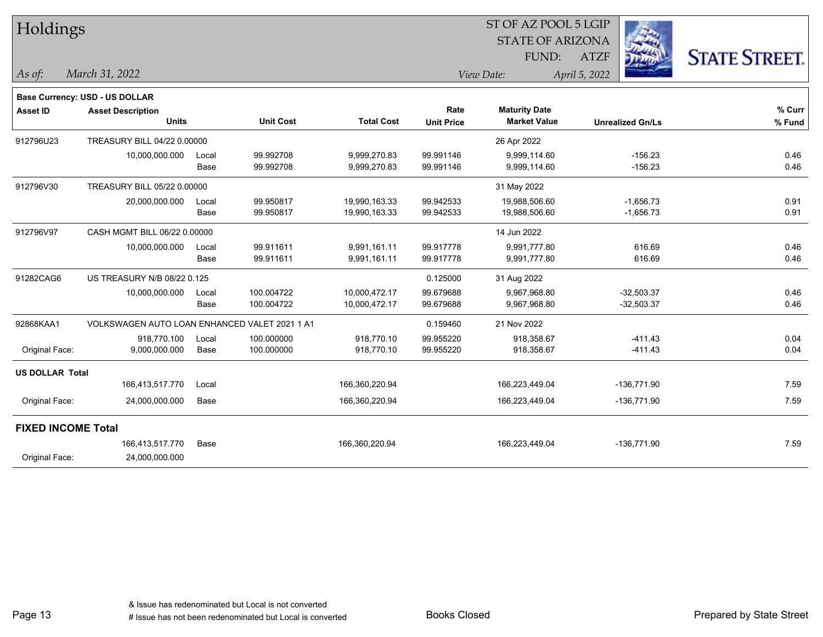| Holdings                  |                                               |       |                  |                   |                   | ST OF AZ POOL 5 LGIP    |                         |                      |
|---------------------------|-----------------------------------------------|-------|------------------|-------------------|-------------------|-------------------------|-------------------------|----------------------|
|                           |                                               |       |                  |                   |                   | <b>STATE OF ARIZONA</b> |                         |                      |
|                           |                                               |       |                  |                   |                   | FUND:                   | <b>ATZF</b>             | <b>STATE STREET.</b> |
| As of:                    | March 31, 2022                                |       |                  |                   |                   | View Date:              | April 5, 2022           |                      |
|                           | Base Currency: USD - US DOLLAR                |       |                  |                   |                   |                         |                         |                      |
| <b>Asset ID</b>           | <b>Asset Description</b>                      |       |                  |                   | Rate              | <b>Maturity Date</b>    |                         | % Curr               |
|                           | <b>Units</b>                                  |       | <b>Unit Cost</b> | <b>Total Cost</b> | <b>Unit Price</b> | <b>Market Value</b>     | <b>Unrealized Gn/Ls</b> | % Fund               |
| 912796U23                 | TREASURY BILL 04/22 0.00000                   |       |                  |                   |                   | 26 Apr 2022             |                         |                      |
|                           | 10,000,000.000                                | Local | 99.992708        | 9,999,270.83      | 99.991146         | 9,999,114.60            | $-156.23$               | 0.46                 |
|                           |                                               | Base  | 99.992708        | 9,999,270.83      | 99.991146         | 9,999,114.60            | $-156.23$               | 0.46                 |
| 912796V30                 | TREASURY BILL 05/22 0.00000                   |       |                  |                   |                   | 31 May 2022             |                         |                      |
|                           | 20,000,000.000                                | Local | 99.950817        | 19,990,163.33     | 99.942533         | 19,988,506.60           | $-1,656.73$             | 0.91                 |
|                           |                                               | Base  | 99.950817        | 19,990,163.33     | 99.942533         | 19,988,506.60           | $-1,656.73$             | 0.91                 |
| 912796V97                 | CASH MGMT BILL 06/22 0.00000                  |       |                  |                   |                   | 14 Jun 2022             |                         |                      |
|                           | 10,000,000.000                                | Local | 99.911611        | 9,991,161.11      | 99.917778         | 9,991,777.80            | 616.69                  | 0.46                 |
|                           |                                               | Base  | 99.911611        | 9,991,161.11      | 99.917778         | 9,991,777.80            | 616.69                  | 0.46                 |
| 91282CAG6                 | US TREASURY N/B 08/22 0.125                   |       |                  |                   | 0.125000          | 31 Aug 2022             |                         |                      |
|                           | 10,000,000.000                                | Local | 100.004722       | 10,000,472.17     | 99.679688         | 9,967,968.80            | $-32,503.37$            | 0.46                 |
|                           |                                               | Base  | 100.004722       | 10,000,472.17     | 99.679688         | 9,967,968.80            | $-32,503.37$            | 0.46                 |
| 92868KAA1                 | VOLKSWAGEN AUTO LOAN ENHANCED VALET 2021 1 A1 |       |                  |                   | 0.159460          | 21 Nov 2022             |                         |                      |
|                           | 918,770.100                                   | Local | 100.000000       | 918,770.10        | 99.955220         | 918,358.67              | $-411.43$               | 0.04                 |
| Original Face:            | 9,000,000.000                                 | Base  | 100.000000       | 918,770.10        | 99.955220         | 918,358.67              | $-411.43$               | 0.04                 |
| <b>US DOLLAR Total</b>    |                                               |       |                  |                   |                   |                         |                         |                      |
|                           | 166,413,517.770                               | Local |                  | 166,360,220.94    |                   | 166,223,449.04          | $-136,771.90$           | 7.59                 |
| Original Face:            | 24,000,000.000                                | Base  |                  | 166,360,220.94    |                   | 166,223,449.04          | $-136,771.90$           | 7.59                 |
| <b>FIXED INCOME Total</b> |                                               |       |                  |                   |                   |                         |                         |                      |
|                           | 166,413,517.770                               | Base  |                  | 166,360,220.94    |                   | 166,223,449.04          | $-136,771.90$           | 7.59                 |
| Original Face:            | 24,000,000.000                                |       |                  |                   |                   |                         |                         |                      |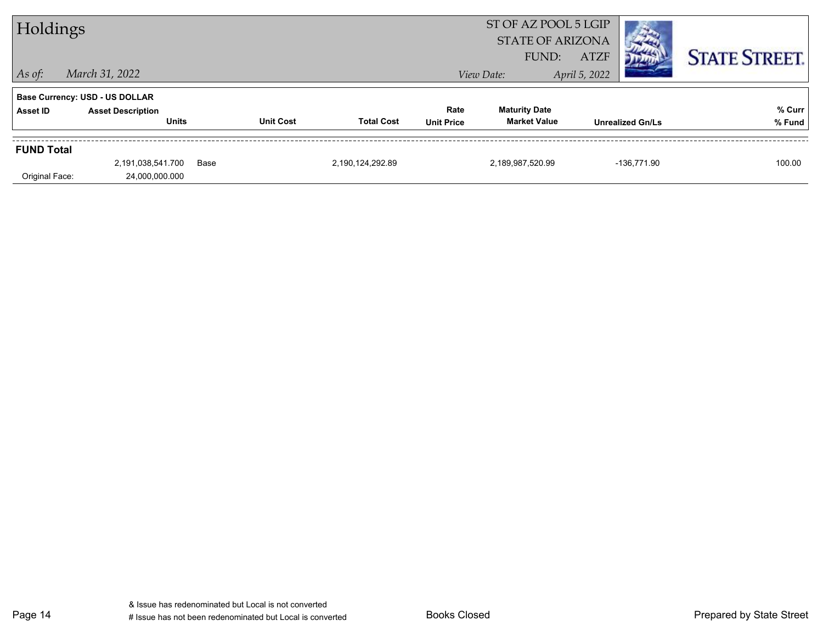| Holdings          |                                       |      |                  | ST OF AZ POOL 5 LGIP<br><b>STATE OF ARIZONA</b> |                   |                      |               |                         |                      |
|-------------------|---------------------------------------|------|------------------|-------------------------------------------------|-------------------|----------------------|---------------|-------------------------|----------------------|
|                   |                                       |      |                  |                                                 |                   | FUND:                | <b>ATZF</b>   |                         | <b>STATE STREET.</b> |
| $\vert$ As of:    | March 31, 2022                        |      |                  |                                                 |                   | View Date:           | April 5, 2022 |                         |                      |
|                   | <b>Base Currency: USD - US DOLLAR</b> |      |                  |                                                 |                   |                      |               |                         |                      |
| Asset ID          | <b>Asset Description</b>              |      |                  |                                                 | Rate              | <b>Maturity Date</b> |               |                         | % Curr               |
|                   | <b>Units</b>                          |      | <b>Unit Cost</b> | <b>Total Cost</b>                               | <b>Unit Price</b> | <b>Market Value</b>  |               | <b>Unrealized Gn/Ls</b> | % Fund               |
| <b>FUND Total</b> |                                       |      |                  |                                                 |                   |                      |               |                         |                      |
|                   | 2,191,038,541.700                     | Base |                  | 2,190,124,292.89                                |                   | 2,189,987,520.99     |               | -136,771.90             | 100.00               |
| Original Face:    | 24,000,000.000                        |      |                  |                                                 |                   |                      |               |                         |                      |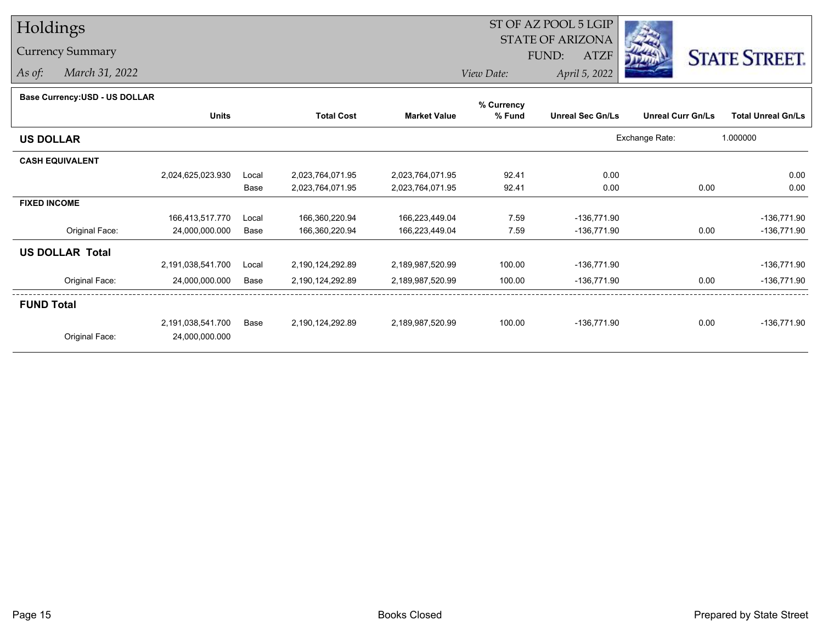## Holdings

## Currency Summary

*As of: March 31, 2022*

## ST OF AZ POOL 5 LGIP STATE OF ARIZONAATZF FUND:



*View Date:April 5, 2022*

| Dase Ourlelicy.00D - 00 DOLLAR | <b>Units</b>      |       | <b>Total Cost</b> |                     | % Currency |                         | <b>Unreal Curr Gn/Ls</b> |                           |
|--------------------------------|-------------------|-------|-------------------|---------------------|------------|-------------------------|--------------------------|---------------------------|
|                                |                   |       |                   | <b>Market Value</b> | % Fund     | <b>Unreal Sec Gn/Ls</b> |                          | <b>Total Unreal Gn/Ls</b> |
| <b>US DOLLAR</b>               |                   |       |                   |                     |            |                         | Exchange Rate:           | 1.000000                  |
| <b>CASH EQUIVALENT</b>         |                   |       |                   |                     |            |                         |                          |                           |
|                                | 2,024,625,023.930 | Local | 2,023,764,071.95  | 2,023,764,071.95    | 92.41      | 0.00                    |                          | 0.00                      |
|                                |                   | Base  | 2,023,764,071.95  | 2,023,764,071.95    | 92.41      | 0.00                    | 0.00                     | 0.00                      |
| <b>FIXED INCOME</b>            |                   |       |                   |                     |            |                         |                          |                           |
|                                | 166,413,517.770   | Local | 166,360,220.94    | 166,223,449.04      | 7.59       | $-136,771.90$           |                          | $-136,771.90$             |
| Original Face:                 | 24,000,000.000    | Base  | 166,360,220.94    | 166,223,449.04      | 7.59       | -136,771.90             | 0.00                     | $-136,771.90$             |
| <b>US DOLLAR Total</b>         |                   |       |                   |                     |            |                         |                          |                           |
|                                | 2,191,038,541.700 | Local | 2,190,124,292.89  | 2,189,987,520.99    | 100.00     | $-136,771.90$           |                          | $-136,771.90$             |
| Original Face:                 | 24,000,000.000    | Base  | 2,190,124,292.89  | 2,189,987,520.99    | 100.00     | $-136,771.90$           | 0.00                     | $-136,771.90$             |
| <b>FUND Total</b>              |                   |       |                   |                     |            |                         |                          |                           |
|                                | 2,191,038,541.700 | Base  | 2,190,124,292.89  | 2,189,987,520.99    | 100.00     | $-136,771.90$           | 0.00                     | -136,771.90               |
| Original Face:                 | 24,000,000.000    |       |                   |                     |            |                         |                          |                           |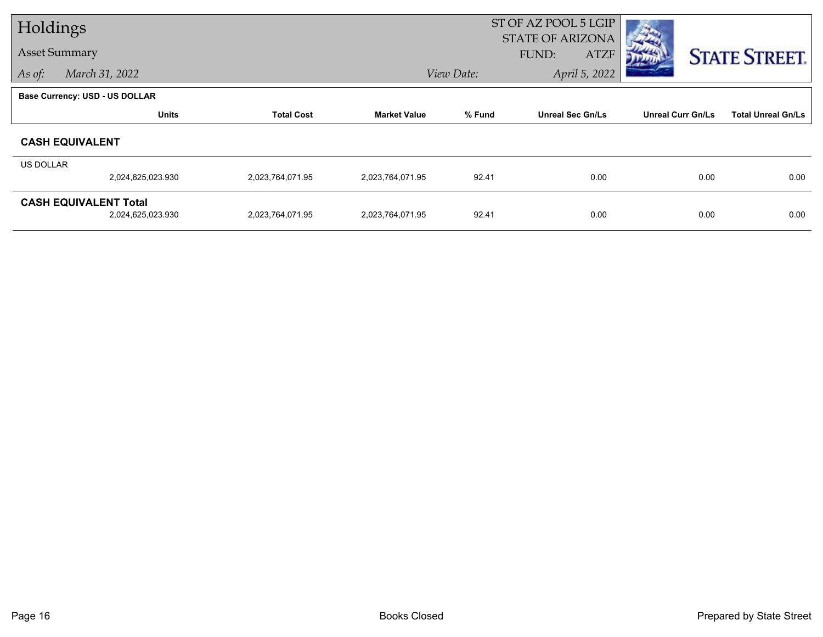| Holdings         |                                                   |                   |                     | ST OF AZ POOL 5 LGIP |                                                 |                          |                           |
|------------------|---------------------------------------------------|-------------------|---------------------|----------------------|-------------------------------------------------|--------------------------|---------------------------|
|                  | <b>Asset Summary</b>                              |                   |                     |                      | <b>STATE OF ARIZONA</b><br>FUND:<br><b>ATZF</b> |                          | <b>STATE STREET.</b>      |
| As of:           | March 31, 2022                                    |                   |                     | View Date:           | April 5, 2022                                   |                          |                           |
|                  | Base Currency: USD - US DOLLAR                    |                   |                     |                      |                                                 |                          |                           |
|                  | <b>Units</b>                                      | <b>Total Cost</b> | <b>Market Value</b> | % Fund               | <b>Unreal Sec Gn/Ls</b>                         | <b>Unreal Curr Gn/Ls</b> | <b>Total Unreal Gn/Ls</b> |
|                  | <b>CASH EQUIVALENT</b>                            |                   |                     |                      |                                                 |                          |                           |
| <b>US DOLLAR</b> |                                                   |                   |                     |                      |                                                 |                          |                           |
|                  | 2,024,625,023.930                                 | 2,023,764,071.95  | 2,023,764,071.95    | 92.41                | 0.00                                            | 0.00                     | 0.00                      |
|                  | <b>CASH EQUIVALENT Total</b><br>2,024,625,023.930 | 2,023,764,071.95  | 2,023,764,071.95    | 92.41                | 0.00                                            | 0.00                     | 0.00                      |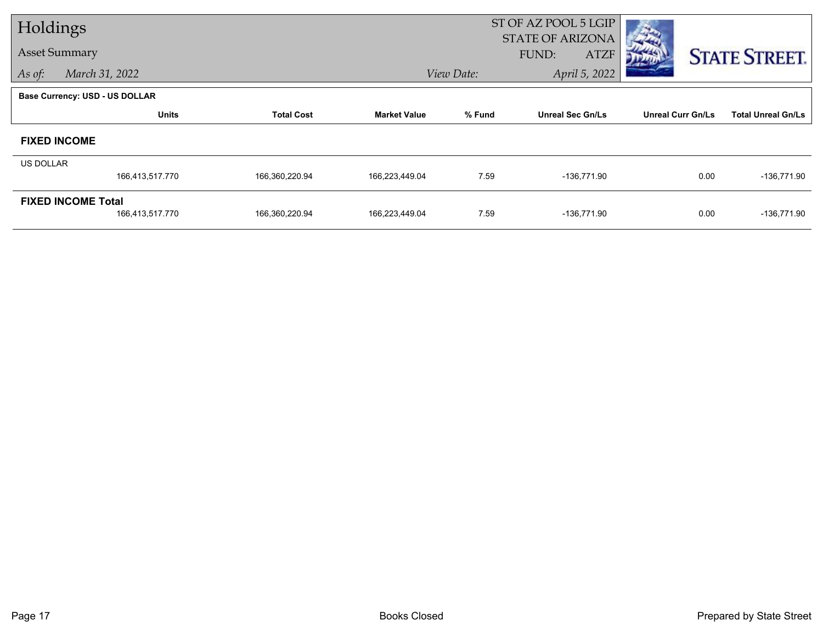| Holdings  |                                       |                   |                     | ST OF AZ POOL 5 LGIP        |                                                 |                          |                           |
|-----------|---------------------------------------|-------------------|---------------------|-----------------------------|-------------------------------------------------|--------------------------|---------------------------|
|           | <b>Asset Summary</b>                  |                   |                     |                             | <b>STATE OF ARIZONA</b><br><b>ATZF</b><br>FUND: |                          | <b>STATE STREET.</b>      |
| As of:    | March 31, 2022                        |                   |                     | April 5, 2022<br>View Date: |                                                 |                          |                           |
|           | <b>Base Currency: USD - US DOLLAR</b> |                   |                     |                             |                                                 |                          |                           |
|           | <b>Units</b>                          | <b>Total Cost</b> | <b>Market Value</b> | % Fund                      | <b>Unreal Sec Gn/Ls</b>                         | <b>Unreal Curr Gn/Ls</b> | <b>Total Unreal Gn/Ls</b> |
|           | <b>FIXED INCOME</b>                   |                   |                     |                             |                                                 |                          |                           |
| US DOLLAR |                                       |                   |                     |                             |                                                 |                          |                           |
|           | 166,413,517.770                       | 166,360,220.94    | 166,223,449.04      | 7.59                        | $-136,771.90$                                   | 0.00                     | $-136,771.90$             |
|           | <b>FIXED INCOME Total</b>             |                   |                     |                             |                                                 |                          |                           |
|           | 166,413,517.770                       | 166,360,220.94    | 166,223,449.04      | 7.59                        | $-136,771.90$                                   | 0.00                     | $-136,771.90$             |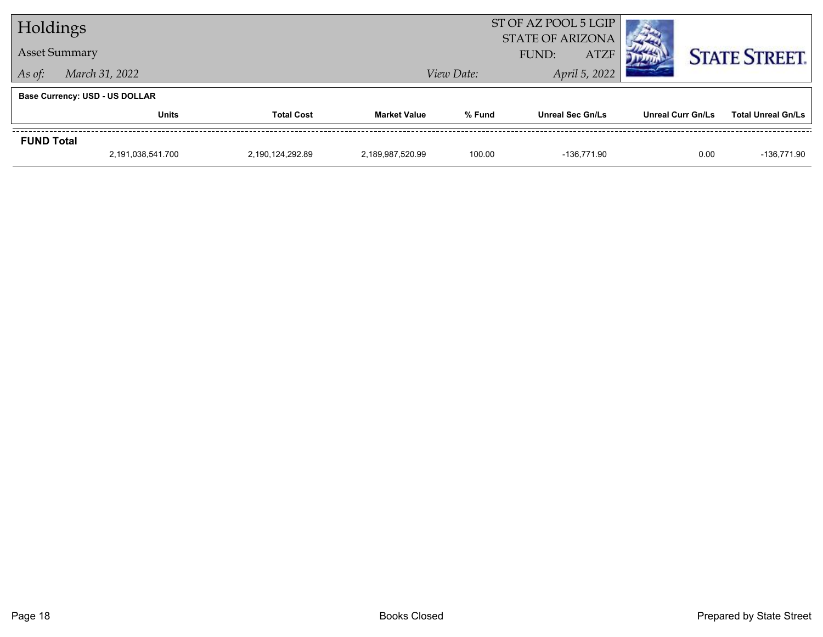| Holdings          |                                       |                   |                     |                             | ST OF AZ POOL 5 LGIP<br><b>STATE OF ARIZONA</b> |                          |                           |
|-------------------|---------------------------------------|-------------------|---------------------|-----------------------------|-------------------------------------------------|--------------------------|---------------------------|
|                   | <b>Asset Summary</b>                  |                   |                     |                             | <b>ATZF</b><br>FUND:                            |                          | <b>STATE STREET.</b>      |
| As of:            | March 31, 2022                        |                   |                     | April 5, 2022<br>View Date: |                                                 |                          |                           |
|                   | <b>Base Currency: USD - US DOLLAR</b> |                   |                     |                             |                                                 |                          |                           |
|                   | <b>Units</b>                          | <b>Total Cost</b> | <b>Market Value</b> | % Fund                      | <b>Unreal Sec Gn/Ls</b>                         | <b>Unreal Curr Gn/Ls</b> | <b>Total Unreal Gn/Ls</b> |
| <b>FUND Total</b> |                                       |                   |                     |                             |                                                 |                          |                           |
|                   | 2,191,038,541.700                     | 2,190,124,292.89  | 2,189,987,520.99    | 100.00                      | -136.771.90                                     | 0.00                     | -136,771.90               |